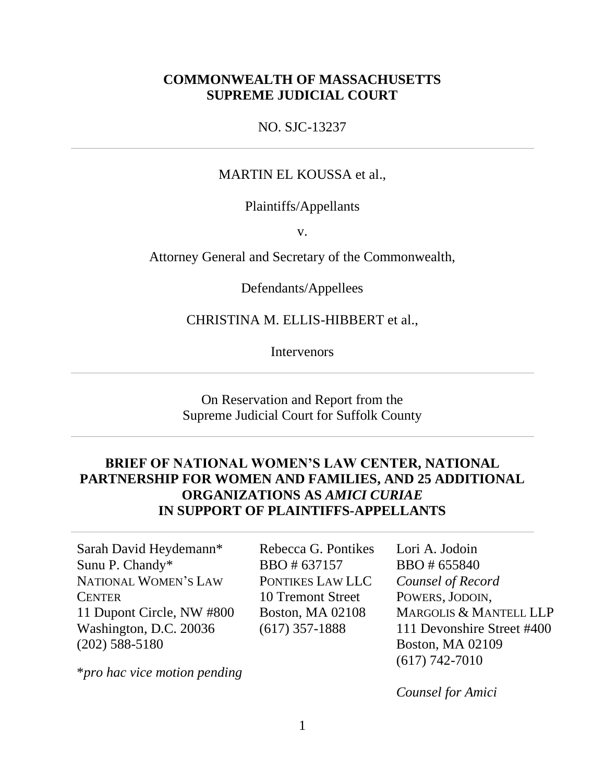### **COMMONWEALTH OF MASSACHUSETTS SUPREME JUDICIAL COURT**

NO. SJC-13237

#### MARTIN EL KOUSSA et al.,

Plaintiffs/Appellants

v.

Attorney General and Secretary of the Commonwealth,

Defendants/Appellees

CHRISTINA M. ELLIS-HIBBERT et al.,

**Intervenors** 

#### On Reservation and Report from the Supreme Judicial Court for Suffolk County

# **BRIEF OF NATIONAL WOMEN'S LAW CENTER, NATIONAL PARTNERSHIP FOR WOMEN AND FAMILIES, AND 25 ADDITIONAL ORGANIZATIONS AS** *AMICI CURIAE* **IN SUPPORT OF PLAINTIFFS-APPELLANTS**

Sarah David Heydemann\* Sunu P. Chandy\* NATIONAL WOMEN'S LAW **CENTER** 11 Dupont Circle, NW #800 Washington, D.C. 20036 (202) 588-5180

Rebecca G. Pontikes BBO # 637157 PONTIKES LAW LLC 10 Tremont Street Boston, MA 02108 (617) 357-1888

Lori A. Jodoin BBO # 655840 *Counsel of Record*  POWERS, JODOIN, MARGOLIS & MANTELL LLP 111 Devonshire Street #400 Boston, MA 02109 (617) 742-7010

\**pro hac vice motion pending*

*Counsel for Amici*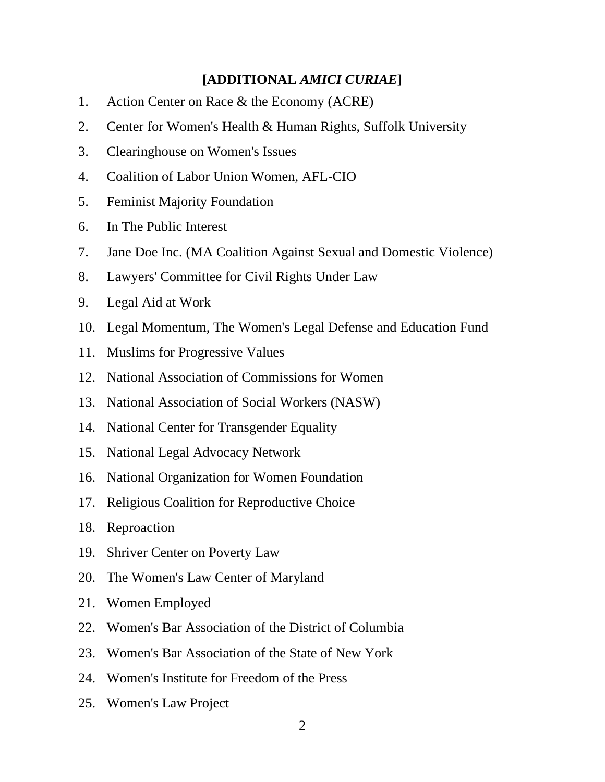### **[ADDITIONAL** *AMICI CURIAE***]**

- 1. Action Center on Race & the Economy (ACRE)
- 2. Center for Women's Health & Human Rights, Suffolk University
- 3. Clearinghouse on Women's Issues
- 4. Coalition of Labor Union Women, AFL-CIO
- 5. Feminist Majority Foundation
- 6. In The Public Interest
- 7. Jane Doe Inc. (MA Coalition Against Sexual and Domestic Violence)
- 8. Lawyers' Committee for Civil Rights Under Law
- 9. Legal Aid at Work
- 10. Legal Momentum, The Women's Legal Defense and Education Fund
- 11. Muslims for Progressive Values
- 12. National Association of Commissions for Women
- 13. National Association of Social Workers (NASW)
- 14. National Center for Transgender Equality
- 15. National Legal Advocacy Network
- 16. National Organization for Women Foundation
- 17. Religious Coalition for Reproductive Choice
- 18. Reproaction
- 19. Shriver Center on Poverty Law
- 20. The Women's Law Center of Maryland
- 21. Women Employed
- 22. Women's Bar Association of the District of Columbia
- 23. Women's Bar Association of the State of New York
- 24. Women's Institute for Freedom of the Press
- 25. Women's Law Project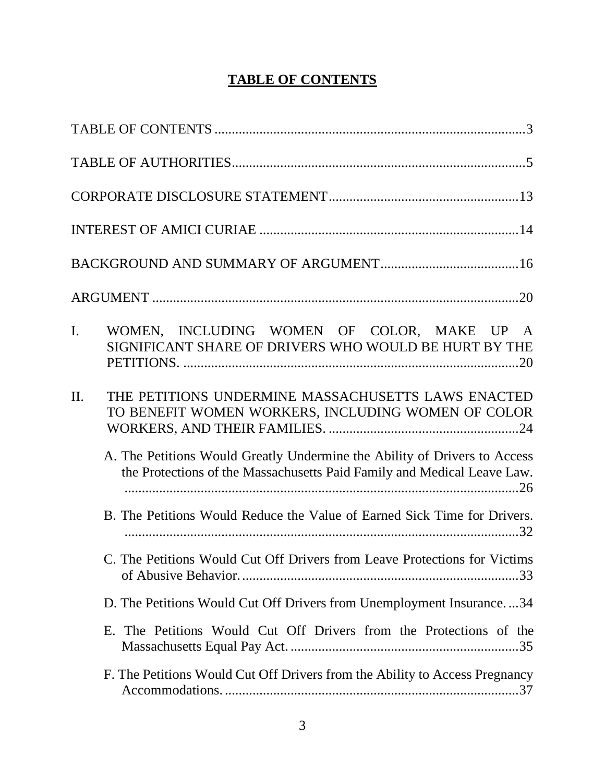# **TABLE OF CONTENTS**

<span id="page-2-0"></span>

| WOMEN, INCLUDING WOMEN OF COLOR, MAKE UP A<br>$\mathbf{I}$ .<br>SIGNIFICANT SHARE OF DRIVERS WHO WOULD BE HURT BY THE                                |
|------------------------------------------------------------------------------------------------------------------------------------------------------|
| THE PETITIONS UNDERMINE MASSACHUSETTS LAWS ENACTED<br>II.<br>TO BENEFIT WOMEN WORKERS, INCLUDING WOMEN OF COLOR                                      |
| A. The Petitions Would Greatly Undermine the Ability of Drivers to Access<br>the Protections of the Massachusetts Paid Family and Medical Leave Law. |
| B. The Petitions Would Reduce the Value of Earned Sick Time for Drivers.                                                                             |
| C. The Petitions Would Cut Off Drivers from Leave Protections for Victims                                                                            |
| D. The Petitions Would Cut Off Drivers from Unemployment Insurance34                                                                                 |
| E. The Petitions Would Cut Off Drivers from the Protections of the                                                                                   |
| F. The Petitions Would Cut Off Drivers from the Ability to Access Pregnancy                                                                          |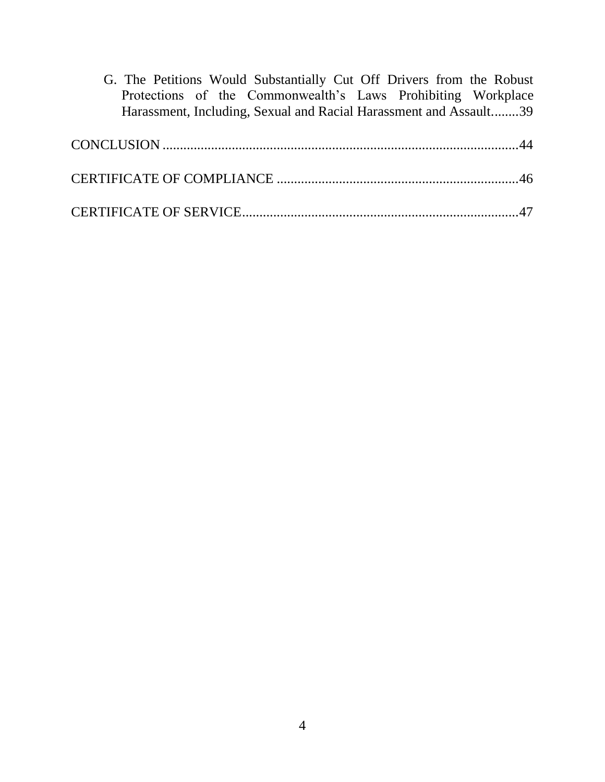[G. The Petitions Would Substantially Cut Off Drivers from the Robust](#page-38-0)  [Protections of the Commonwealth's Laws Prohibiting Workplace](#page-38-0)  [Harassment, Including, Sexual and Racial Harassment and Assault........39](#page-38-0)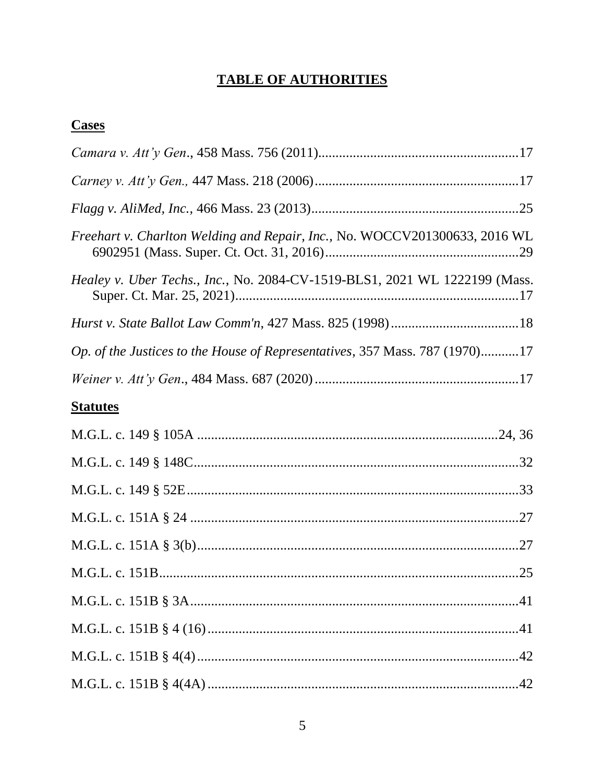# **TABLE OF AUTHORITIES**

# <span id="page-4-0"></span>**Cases**

| Freehart v. Charlton Welding and Repair, Inc., No. WOCCV201300633, 2016 WL  |
|-----------------------------------------------------------------------------|
| Healey v. Uber Techs., Inc., No. 2084-CV-1519-BLS1, 2021 WL 1222199 (Mass.  |
|                                                                             |
| Op. of the Justices to the House of Representatives, 357 Mass. 787 (1970)17 |
|                                                                             |
| <b>Statutes</b>                                                             |
|                                                                             |
|                                                                             |
|                                                                             |
|                                                                             |
|                                                                             |
|                                                                             |
|                                                                             |
|                                                                             |
|                                                                             |
|                                                                             |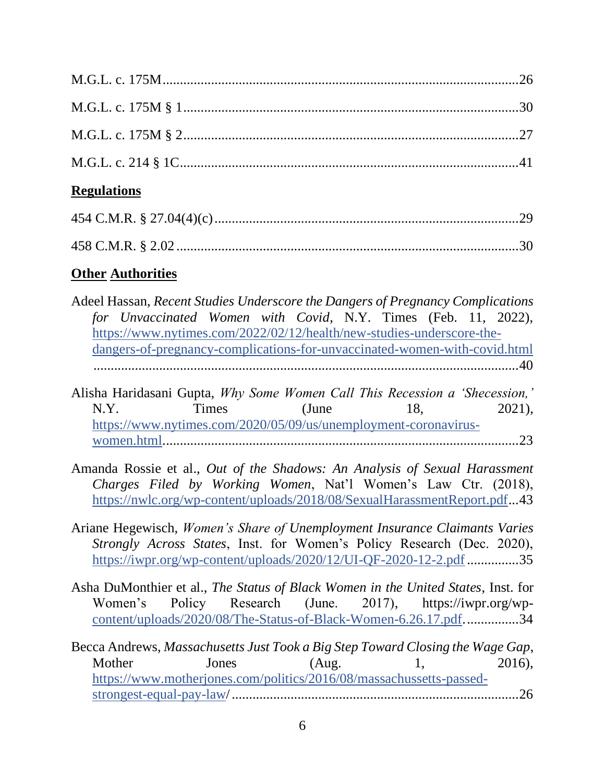| <b>Regulations</b>                                                                                                                               |  |
|--------------------------------------------------------------------------------------------------------------------------------------------------|--|
|                                                                                                                                                  |  |
|                                                                                                                                                  |  |
| <b>Other Authorities</b>                                                                                                                         |  |
| Adeel Hassan, Recent Studies Underscore the Dangers of Pregnancy Complications<br>for Unvaccinated Women with Covid, N.Y. Times (Feb. 11, 2022), |  |

|  | dangers-of-pregnancy-complications-for-unvaccinated-women-with-covid.html |
|--|---------------------------------------------------------------------------|
|  |                                                                           |

[https://www.nytimes.com/2022/02/12/health/new-studies-underscore-the-](https://www.nytimes.com/2022/02/12/health/new-studies-underscore-the-dangers-of-pregnancy-complications-for-unvaccinated-women-with-covid.html)

- Alisha Haridasani Gupta, *Why Some Women Call This Recession a 'Shecession,'*  N.Y. Times (June 18, 2021), [https://www.nytimes.com/2020/05/09/us/unemployment-coronavirus](https://www.nytimes.com/2020/05/09/us/unemployment-coronavirus-women.html)[women.html.](https://www.nytimes.com/2020/05/09/us/unemployment-coronavirus-women.html)......................................................................................................23
- Amanda Rossie et al., *Out of the Shadows: An Analysis of Sexual Harassment Charges Filed by Working Women*, Nat'l Women's Law Ctr. (2018), [https://nwlc.org/wp-content/uploads/2018/08/SexualHarassmentReport.pdf.](https://nwlc.org/wp-content/uploads/2018/08/SexualHarassmentReport.pdf)..43
- Ariane Hegewisch, *Women's Share of Unemployment Insurance Claimants Varies Strongly Across States*, Inst. for Women's Policy Research (Dec. 2020), [https://iwpr.org/wp-content/uploads/2020/12/UI-QF-2020-12-2.pdf.](https://iwpr.org/wp-content/uploads/2020/12/UI-QF-2020-12-2.pdf)..............35
- Asha DuMonthier et al., *The Status of Black Women in the United States*, Inst. for Women's Policy Research (June. 2017), https://iwpr.org/wp[content/uploads/2020/08/The-Status-of-Black-Women-6.26.17.pdf.](https://nwlc365-my.sharepoint.com/personal/pwolfe_nwlc_org/Documents/content/uploads/2020/08/The-Status-of-Black-Women-6.26.17.pdf)...............34
- Becca Andrews, *Massachusetts Just Took a Big Step Toward Closing the Wage Gap*, Mother Jones (Aug. 1, 2016), [https://www.motherjones.com/politics/2016/08/massachussetts-passed](https://www.motherjones.com/politics/2016/08/massachussetts-passed-strongest-equal-pay-law)[strongest-equal-pay-law/](https://www.motherjones.com/politics/2016/08/massachussetts-passed-strongest-equal-pay-law)...................................................................................26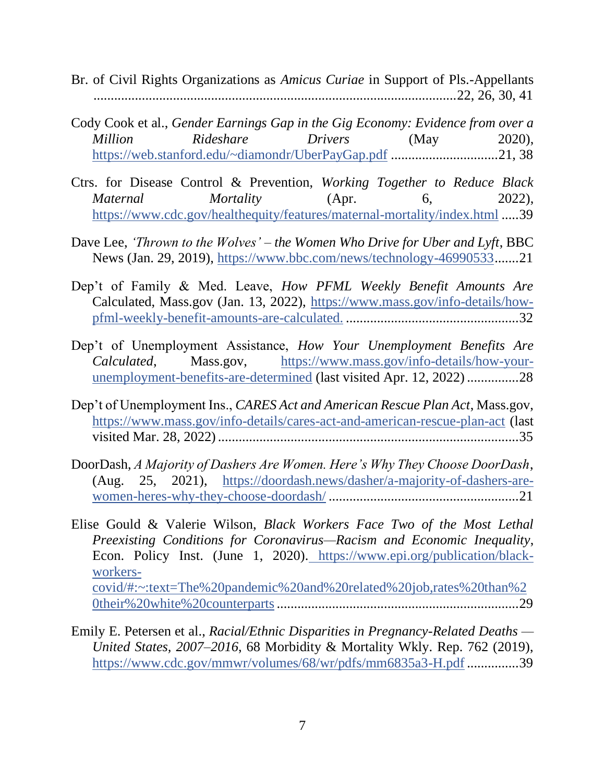- Br. of Civil Rights Organizations as *Amicus Curiae* in Support of Pls.-Appellants .........................................................................................................22, 26, 30, 41
- Cody Cook et al., *Gender Earnings Gap in the Gig Economy: Evidence from over a Million Rideshare Drivers* (May 2020), <https://web.stanford.edu/~diamondr/UberPayGap.pdf> ...............................21, 38
- Ctrs. for Disease Control & Prevention, *Working Together to Reduce Black Maternal Mortality* (Apr. 6, 2022), <https://www.cdc.gov/healthequity/features/maternal-mortality/index.html> .....39
- Dave Lee, *'Thrown to the Wolves' – the Women Who Drive for Uber and Lyft*, BBC News (Jan. 29, 2019), [https://www.bbc.com/news/technology-46990533.](https://www.bbc.com/news/technology-46990533)......21
- Dep't of Family & Med. Leave, *How PFML Weekly Benefit Amounts Are*  Calculated, Mass.gov (Jan. 13, 2022), [https://www.mass.gov/info-details/how](https://www.mass.gov/info-details/how-pfml-weekly-benefit-amounts-are-calculated.)[pfml-weekly-benefit-amounts-are-calculated.](https://www.mass.gov/info-details/how-pfml-weekly-benefit-amounts-are-calculated.) ..................................................32
- Dep't of Unemployment Assistance, *How Your Unemployment Benefits Are Calculated*, Mass.gov, [https://www.mass.gov/info-details/how-your](https://www.mass.gov/info-details/how-your-unemployment-benefits-are-determined)[unemployment-benefits-are-determined](https://www.mass.gov/info-details/how-your-unemployment-benefits-are-determined) (last visited Apr. 12, 2022)...............28
- Dep't of Unemployment Ins., *CARES Act and American Rescue Plan Act*, Mass.gov, <https://www.mass.gov/info-details/cares-act-and-american-rescue-plan-act> (last visited Mar. 28, 2022).......................................................................................35
- DoorDash, *A Majority of Dashers Are Women. Here's Why They Choose DoorDash*, (Aug. 25, 2021), [https://doordash.news/dasher/a-majority-of-dashers-are](https://doordash.news/dasher/a-majority-of-dashers-are-women-heres-why-they-choose-doordash/)[women-heres-why-they-choose-doordash/](https://doordash.news/dasher/a-majority-of-dashers-are-women-heres-why-they-choose-doordash/) .......................................................21
- Elise Gould & Valerie Wilson, *Black Workers Face Two of the Most Lethal Preexisting Conditions for Coronavirus—Racism and Economic Inequality*, Econ. Policy Inst. (June 1, 2020). [https://www.epi.org/publication/black](https://www.epi.org/publication/black-workers-covid/#:~:text=The%20pandemic%20and%20related%20job,rates%20than%20their%20white%20counterparts)[workers](https://www.epi.org/publication/black-workers-covid/#:~:text=The%20pandemic%20and%20related%20job,rates%20than%20their%20white%20counterparts)[covid/#:~:text=The%20pandemic%20and%20related%20job,rates%20than%2](https://www.epi.org/publication/black-workers-covid/#:~:text=The%20pandemic%20and%20related%20job,rates%20than%20their%20white%20counterparts) [0their%20white%20counterparts](https://www.epi.org/publication/black-workers-covid/#:~:text=The%20pandemic%20and%20related%20job,rates%20than%20their%20white%20counterparts)......................................................................29
- Emily E. Petersen et al., *Racial/Ethnic Disparities in Pregnancy-Related Deaths — United States, 2007–2016*, 68 Morbidity & Mortality Wkly. Rep. 762 (2019), <https://www.cdc.gov/mmwr/volumes/68/wr/pdfs/mm6835a3-H.pdf> ...............39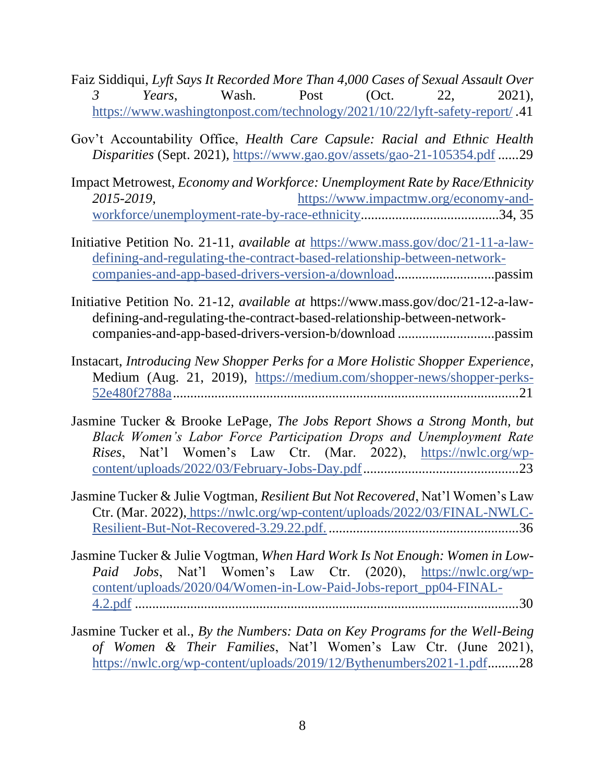- Faiz Siddiqui, *Lyft Says It Recorded More Than 4,000 Cases of Sexual Assault Over 3 Years*, Wash. Post (Oct. 22, 2021), <https://www.washingtonpost.com/technology/2021/10/22/lyft-safety-report/> .41
- Gov't Accountability Office, *Health Care Capsule: Racial and Ethnic Health Disparities* (Sept. 2021),<https://www.gao.gov/assets/gao-21-105354.pdf> ......29
- Impact Metrowest, *Economy and Workforce: Unemployment Rate by Race/Ethnicity 2015-2019*, [https://www.impactmw.org/economy-and](https://www.impactmw.org/economy-and-workforce/unemployment-rate-by-race-ethnicity)[workforce/unemployment-rate-by-race-ethnicity.](https://www.impactmw.org/economy-and-workforce/unemployment-rate-by-race-ethnicity).......................................34, 35
- Initiative Petition No. 21-11, *available at* [https://www.mass.gov/doc/21-11-a-law](https://www.mass.gov/doc/21-11-a-law-defining-and-regulating-the-contract-based-relationship-between-network-companies-and-app-based-drivers-version-a/download)[defining-and-regulating-the-contract-based-relationship-between-network](https://www.mass.gov/doc/21-11-a-law-defining-and-regulating-the-contract-based-relationship-between-network-companies-and-app-based-drivers-version-a/download)[companies-and-app-based-drivers-version-a/download.](https://www.mass.gov/doc/21-11-a-law-defining-and-regulating-the-contract-based-relationship-between-network-companies-and-app-based-drivers-version-a/download)............................passim
- Initiative Petition No. 21-12, *available at* https://www.mass.gov/doc/21-12-a-lawdefining-and-regulating-the-contract-based-relationship-between-networkcompanies-and-app-based-drivers-version-b/download ............................passim
- Instacart, *Introducing New Shopper Perks for a More Holistic Shopper Experience*, Medium (Aug. 21, 2019), [https://medium.com/shopper-news/shopper-perks-](https://medium.com/shopper-news/shopper-perks-52e480f2788a)[52e480f2788a.](https://medium.com/shopper-news/shopper-perks-52e480f2788a)...................................................................................................21
- Jasmine Tucker & Brooke LePage, *The Jobs Report Shows a Strong Month, but Black Women's Labor Force Participation Drops and Unemployment Rate Rises*, Nat'l Women's Law Ctr. (Mar. 2022), [https://nwlc.org/wp](https://nwlc.org/wp-content/uploads/2022/03/February-Jobs-Day.pdf)[content/uploads/2022/03/February-Jobs-Day.pdf.](https://nwlc.org/wp-content/uploads/2022/03/February-Jobs-Day.pdf)............................................23
- Jasmine Tucker & Julie Vogtman, *Resilient But Not Recovered*, Nat'l Women's Law Ctr. (Mar. 2022), [https://nwlc.org/wp-content/uploads/2022/03/FINAL-NWLC-](https://nwlc.org/wp-content/uploads/2022/03/FINAL-NWLC-Resilient-But-Not-Recovered-3.29.22.pdf)[Resilient-But-Not-Recovered-3.29.22.pdf.](https://nwlc.org/wp-content/uploads/2022/03/FINAL-NWLC-Resilient-But-Not-Recovered-3.29.22.pdf) .......................................................36
- Jasmine Tucker & Julie Vogtman, *When Hard Work Is Not Enough: Women in Low-Paid Jobs*, Nat'l Women's Law Ctr. (2020), [https://nwlc.org/wp](https://nwlc.org/wp-content/uploads/2020/04/Women-in-Low-Paid-Jobs-report_pp04-FINAL-4.2.pdf)[content/uploads/2020/04/Women-in-Low-Paid-Jobs-report\\_pp04-FINAL-](https://nwlc.org/wp-content/uploads/2020/04/Women-in-Low-Paid-Jobs-report_pp04-FINAL-4.2.pdf)[4.2.pdf](https://nwlc.org/wp-content/uploads/2020/04/Women-in-Low-Paid-Jobs-report_pp04-FINAL-4.2.pdf) ...............................................................................................................30
- Jasmine Tucker et al., *By the Numbers: Data on Key Programs for the Well-Being of Women & Their Families*, Nat'l Women's Law Ctr. (June 2021), [https://nwlc.org/wp-content/uploads/2019/12/Bythenumbers2021-1.pdf.](https://nwlc.org/wp-content/uploads/2019/12/Bythenumbers2021-1.pdf)........28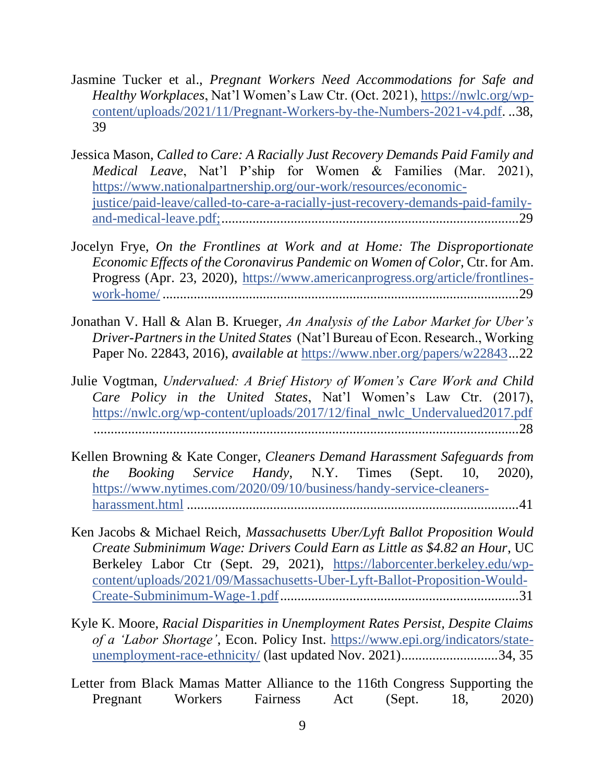- Jasmine Tucker et al., *Pregnant Workers Need Accommodations for Safe and Healthy Workplaces*, Nat'l Women's Law Ctr. (Oct. 2021), [https://nwlc.org/wp](https://nwlc.org/wp-content/uploads/2021/11/Pregnant-Workers-by-the-Numbers-2021-v4.pdf)[content/uploads/2021/11/Pregnant-Workers-by-the-Numbers-2021-v4.pdf.](https://nwlc.org/wp-content/uploads/2021/11/Pregnant-Workers-by-the-Numbers-2021-v4.pdf) ..38, 39
- Jessica Mason, *Called to Care: A Racially Just Recovery Demands Paid Family and Medical Leave*, Nat'l P'ship for Women & Families (Mar. 2021), [https://www.nationalpartnership.org/our-work/resources/economic](https://www.nationalpartnership.org/our-work/resources/economic-justice/paid-leave/called-to-care-a-racially-just-recovery-demands-paid-family-and-medical-leave.pdf)[justice/paid-leave/called-to-care-a-racially-just-recovery-demands-paid-family](https://www.nationalpartnership.org/our-work/resources/economic-justice/paid-leave/called-to-care-a-racially-just-recovery-demands-paid-family-and-medical-leave.pdf)[and-medical-leave.pdf;.](https://www.nationalpartnership.org/our-work/resources/economic-justice/paid-leave/called-to-care-a-racially-just-recovery-demands-paid-family-and-medical-leave.pdf).....................................................................................29
- Jocelyn Frye, *On the Frontlines at Work and at Home: The Disproportionate Economic Effects of the Coronavirus Pandemic on Women of Color,* Ctr. for Am. Progress (Apr. 23, 2020), [https://www.americanprogress.org/article/frontlines](https://www.americanprogress.org/article/frontlines-work-home/)[work-home/](https://www.americanprogress.org/article/frontlines-work-home/) .......................................................................................................29
- Jonathan V. Hall & Alan B. Krueger, *An Analysis of the Labor Market for Uber's Driver-Partners in the United States* (Nat'l Bureau of Econ. Research., Working Paper No. 22843, 2016), *available at* [https://www.nber.org/papers/w22843.](https://www.nber.org/papers/w22843)..22
- Julie Vogtman, *Undervalued: A Brief History of Women's Care Work and Child Care Policy in the United States*, Nat'l Women's Law Ctr. (2017), [https://nwlc.org/wp-content/uploads/2017/12/final\\_nwlc\\_Undervalued2017.pdf](https://nwlc.org/wp-content/uploads/2017/12/final_nwlc_Undervalued2017.pdf) ...........................................................................................................................28
- Kellen Browning & Kate Conger, *Cleaners Demand Harassment Safeguards from the Booking Service Handy*, N.Y. Times (Sept. 10, 2020), [https://www.nytimes.com/2020/09/10/business/handy-service-cleaners](https://www.nytimes.com/2020/09/10/business/handy-service-cleaners-harassment.html)[harassment.html](https://www.nytimes.com/2020/09/10/business/handy-service-cleaners-harassment.html) ................................................................................................41
- Ken Jacobs & Michael Reich, *Massachusetts Uber/Lyft Ballot Proposition Would Create Subminimum Wage: Drivers Could Earn as Little as \$4.82 an Hour*, UC Berkeley Labor Ctr (Sept. 29, 2021), [https://laborcenter.berkeley.edu/wp](https://laborcenter.berkeley.edu/wp-content/uploads/2021/09/Massachusetts-Uber-Lyft-Ballot-Proposition-Would-Create-Subminimum-Wage-1.pdf)[content/uploads/2021/09/Massachusetts-Uber-Lyft-Ballot-Proposition-Would-](https://laborcenter.berkeley.edu/wp-content/uploads/2021/09/Massachusetts-Uber-Lyft-Ballot-Proposition-Would-Create-Subminimum-Wage-1.pdf)[Create-Subminimum-Wage-1.pdf.](https://laborcenter.berkeley.edu/wp-content/uploads/2021/09/Massachusetts-Uber-Lyft-Ballot-Proposition-Would-Create-Subminimum-Wage-1.pdf)....................................................................31
- Kyle K. Moore, *Racial Disparities in Unemployment Rates Persist, Despite Claims of a 'Labor Shortage'*, Econ. Policy Inst. [https://www.epi.org/indicators/state](https://www.epi.org/indicators/state-unemployment-race-ethnicity/)[unemployment-race-ethnicity/](https://www.epi.org/indicators/state-unemployment-race-ethnicity/) (last updated Nov. 2021)............................34, 35
- Letter from Black Mamas Matter Alliance to the 116th Congress Supporting the Pregnant Workers Fairness Act (Sept. 18, 2020)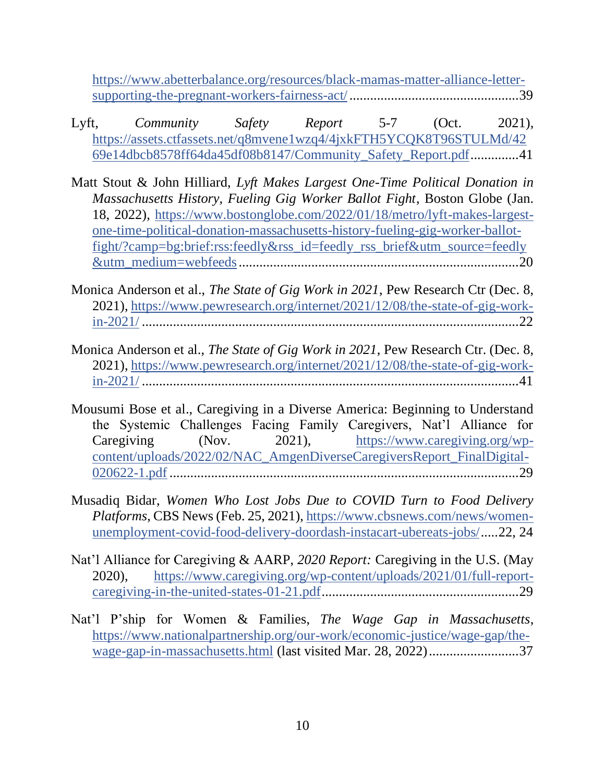[https://www.abetterbalance.org/resources/black-mamas-matter-alliance-letter](https://www.abetterbalance.org/resources/black-mamas-matter-alliance-letter-supporting-the-pregnant-workers-fairness-act/)[supporting-the-pregnant-workers-fairness-act/.](https://www.abetterbalance.org/resources/black-mamas-matter-alliance-letter-supporting-the-pregnant-workers-fairness-act/)................................................39

- Lyft, *Community Safety Report* 5-7 (Oct. 2021), [https://assets.ctfassets.net/q8mvene1wzq4/4jxkFTH5YCQK8T96STULMd/42](https://assets.ctfassets.net/q8mvene1wzq4/4jxkFTH5YCQK8T96STULMd/4269e14dbcb8578ff64da45df08b8147/Community_Safety_Report.pdf) [69e14dbcb8578ff64da45df08b8147/Community\\_Safety\\_Report.pdf.](https://assets.ctfassets.net/q8mvene1wzq4/4jxkFTH5YCQK8T96STULMd/4269e14dbcb8578ff64da45df08b8147/Community_Safety_Report.pdf).............41
- Matt Stout & John Hilliard, *Lyft Makes Largest One-Time Political Donation in Massachusetts History, Fueling Gig Worker Ballot Fight*, Boston Globe (Jan. 18, 2022), [https://www.bostonglobe.com/2022/01/18/metro/lyft-makes-largest](https://www.bostonglobe.com/2022/01/18/metro/lyft-makes-largest-one-time-political-donation-massachusetts-history-fueling-gig-worker-ballot-fight/?camp=bg:brief:rss:feedly&rss_id=feedly_rss_brief&utm_source=feedly&utm_medium=webfeeds)[one-time-political-donation-massachusetts-history-fueling-gig-worker-ballot](https://www.bostonglobe.com/2022/01/18/metro/lyft-makes-largest-one-time-political-donation-massachusetts-history-fueling-gig-worker-ballot-fight/?camp=bg:brief:rss:feedly&rss_id=feedly_rss_brief&utm_source=feedly&utm_medium=webfeeds)[fight/?camp=bg:brief:rss:feedly&rss\\_id=feedly\\_rss\\_brief&utm\\_source=feedly](https://www.bostonglobe.com/2022/01/18/metro/lyft-makes-largest-one-time-political-donation-massachusetts-history-fueling-gig-worker-ballot-fight/?camp=bg:brief:rss:feedly&rss_id=feedly_rss_brief&utm_source=feedly&utm_medium=webfeeds) [&utm\\_medium=webfeeds.](https://www.bostonglobe.com/2022/01/18/metro/lyft-makes-largest-one-time-political-donation-massachusetts-history-fueling-gig-worker-ballot-fight/?camp=bg:brief:rss:feedly&rss_id=feedly_rss_brief&utm_source=feedly&utm_medium=webfeeds)................................................................................20
- Monica Anderson et al., *The State of Gig Work in 2021*, Pew Research Ctr (Dec. 8, 2021), [https://www.pewresearch.org/internet/2021/12/08/the-state-of-gig-work](https://www.pewresearch.org/internet/2021/12/08/the-state-of-gig-work-in-2021/)[in-2021/](https://www.pewresearch.org/internet/2021/12/08/the-state-of-gig-work-in-2021/) .............................................................................................................22
- Monica Anderson et al., *The State of Gig Work in 2021*, Pew Research Ctr. (Dec. 8, 2021), [https://www.pewresearch.org/internet/2021/12/08/the-state-of-gig-work](https://www.pewresearch.org/internet/2021/12/08/the-state-of-gig-work-in-2021/)[in-2021/](https://www.pewresearch.org/internet/2021/12/08/the-state-of-gig-work-in-2021/) .............................................................................................................41
- Mousumi Bose et al., Caregiving in a Diverse America: Beginning to Understand the Systemic Challenges Facing Family Caregivers, Nat'l Alliance for Caregiving (Nov. 2021), [https://www.caregiving.org/wp](https://www.caregiving.org/wp-content/uploads/2022/02/NAC_AmgenDiverseCaregiversReport_FinalDigital-020622-1.pdf)[content/uploads/2022/02/NAC\\_AmgenDiverseCaregiversReport\\_FinalDigital-](https://www.caregiving.org/wp-content/uploads/2022/02/NAC_AmgenDiverseCaregiversReport_FinalDigital-020622-1.pdf)[020622-1.pdf](https://www.caregiving.org/wp-content/uploads/2022/02/NAC_AmgenDiverseCaregiversReport_FinalDigital-020622-1.pdf) .....................................................................................................29
- Musadiq Bidar, *Women Who Lost Jobs Due to COVID Turn to Food Delivery Platforms*, CBS News (Feb. 25, 2021), [https://www.cbsnews.com/news/women](https://www.cbsnews.com/news/women-unemployment-covid-food-delivery-doordash-instacart-ubereats-jobs/)[unemployment-covid-food-delivery-doordash-instacart-ubereats-jobs/.](https://www.cbsnews.com/news/women-unemployment-covid-food-delivery-doordash-instacart-ubereats-jobs/)....22, 24
- Nat'l Alliance for Caregiving & AARP, *2020 Report:* Caregiving in the U.S. (May 2020), [https://www.caregiving.org/wp-content/uploads/2021/01/full-report](https://www.caregiving.org/wp-content/uploads/2021/01/full-report-caregiving-in-the-united-states-01-21.pdf)[caregiving-in-the-united-states-01-21.pdf.](https://www.caregiving.org/wp-content/uploads/2021/01/full-report-caregiving-in-the-united-states-01-21.pdf)........................................................29
- Nat'l P'ship for Women & Families, *The Wage Gap in Massachusetts*, [https://www.nationalpartnership.org/our-work/economic-justice/wage-gap/the](https://www.nationalpartnership.org/our-work/economic-justice/wage-gap/the-wage-gap-in-massachusetts.html)[wage-gap-in-massachusetts.html](https://www.nationalpartnership.org/our-work/economic-justice/wage-gap/the-wage-gap-in-massachusetts.html) (last visited Mar. 28, 2022)..........................37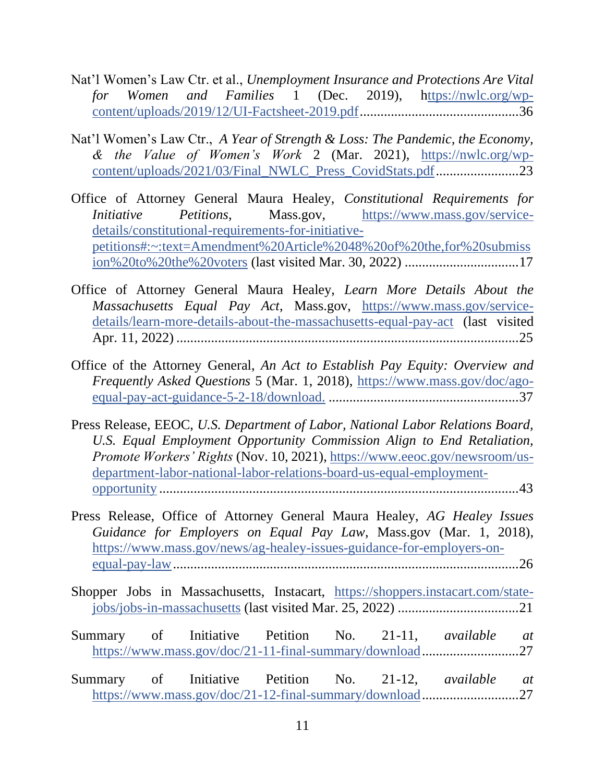- Nat'l Women's Law Ctr. et al., *Unemployment Insurance and Protections Are Vital for Women and Families* 1 (Dec. 2019), [https://nwlc.org/wp](ttps://nwlc.org/wp-content/uploads/2019/12/UI-Factsheet-2019.pdf)[content/uploads/2019/12/UI-Factsheet-2019.pdf.](ttps://nwlc.org/wp-content/uploads/2019/12/UI-Factsheet-2019.pdf).............................................36
- Nat'l Women's Law Ctr., *A Year of Strength & Loss: The Pandemic, the Economy, & the Value of Women's Work* 2 (Mar. 2021), [https://nwlc.org/wp](https://nwlc.org/wp-content/uploads/2021/03/Final_NWLC_Press_CovidStats.pdf)[content/uploads/2021/03/Final\\_NWLC\\_Press\\_CovidStats.pdf.](https://nwlc.org/wp-content/uploads/2021/03/Final_NWLC_Press_CovidStats.pdf).......................23
- Office of Attorney General Maura Healey, *Constitutional Requirements for Initiative Petitions*, Mass.gov, [https://www.mass.gov/service](https://www.mass.gov/service-details/constitutional-requirements-for-initiative-petitions#:~:text=Amendment%20Article%2048%20of%20the,for%20submission%20to%20the%20voters)[details/constitutional-requirements-for-initiative](https://www.mass.gov/service-details/constitutional-requirements-for-initiative-petitions#:~:text=Amendment%20Article%2048%20of%20the,for%20submission%20to%20the%20voters)[petitions#:~:text=Amendment%20Article%2048%20of%20the,for%20submiss](https://www.mass.gov/service-details/constitutional-requirements-for-initiative-petitions#:~:text=Amendment%20Article%2048%20of%20the,for%20submission%20to%20the%20voters) [ion%20to%20the%20voters](https://www.mass.gov/service-details/constitutional-requirements-for-initiative-petitions#:~:text=Amendment%20Article%2048%20of%20the,for%20submission%20to%20the%20voters) (last visited Mar. 30, 2022) .................................17
- Office of Attorney General Maura Healey, *Learn More Details About the Massachusetts Equal Pay Act*, Mass.gov, [https://www.mass.gov/service](https://www.mass.gov/service-details/learn-more-details-about-the-massachusetts-equal-pay-act)[details/learn-more-details-about-the-massachusetts-equal-pay-act](https://www.mass.gov/service-details/learn-more-details-about-the-massachusetts-equal-pay-act) (last visited Apr. 11, 2022) ...................................................................................................25
- Office of the Attorney General, *An Act to Establish Pay Equity: Overview and Frequently Asked Questions* 5 (Mar. 1, 2018), [https://www.mass.gov/doc/ago](https://www.mass.gov/doc/ago-equal-pay-act-guidance-5-2-18/download.)[equal-pay-act-guidance-5-2-18/download.](https://www.mass.gov/doc/ago-equal-pay-act-guidance-5-2-18/download.) .......................................................37
- Press Release, EEOC, *U.S. Department of Labor, National Labor Relations Board, U.S. Equal Employment Opportunity Commission Align to End Retaliation, Promote Workers' Rights* (Nov. 10, 2021), [https://www.eeoc.gov/newsroom/us](https://www.eeoc.gov/newsroom/us-department-labor-national-labor-relations-board-us-equal-employment-opportunity)[department-labor-national-labor-relations-board-us-equal-employment](https://www.eeoc.gov/newsroom/us-department-labor-national-labor-relations-board-us-equal-employment-opportunity)[opportunity](https://www.eeoc.gov/newsroom/us-department-labor-national-labor-relations-board-us-equal-employment-opportunity) ........................................................................................................43
- Press Release, Office of Attorney General Maura Healey, *AG Healey Issues Guidance for Employers on Equal Pay Law*, Mass.gov (Mar. 1, 2018), [https://www.mass.gov/news/ag-healey-issues-guidance-for-employers-on](https://www.mass.gov/news/ag-healey-issues-guidance-for-employers-on-equal-pay-law)[equal-pay-law.](https://www.mass.gov/news/ag-healey-issues-guidance-for-employers-on-equal-pay-law)...................................................................................................26
- Shopper Jobs in Massachusetts, Instacart, [https://shoppers.instacart.com/state](https://shoppers.instacart.com/state-jobs/jobs-in-massachusetts)[jobs/jobs-in-massachusetts](https://shoppers.instacart.com/state-jobs/jobs-in-massachusetts) (last visited Mar. 25, 2022) ...................................21
- Summary of Initiative Petition No. 21-11, *available at*  [https://www.mass.gov/doc/21-11-final-summary/download.](https://www.mass.gov/doc/21-11-final-summary/download)...........................27
- Summary of Initiative Petition No. 21-12, *available at*  [https://www.mass.gov/doc/21-12-final-summary/download.](https://www.mass.gov/doc/21-12-final-summary/download)...........................27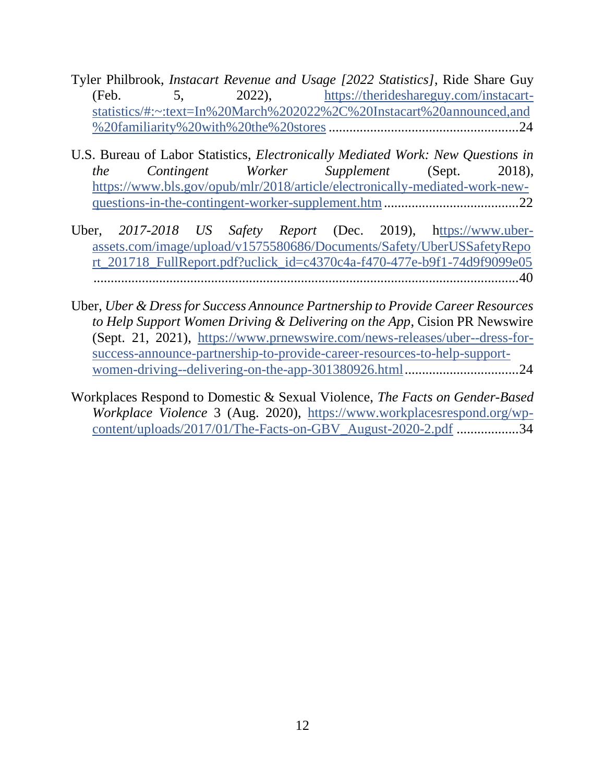- Tyler Philbrook, *Instacart Revenue and Usage [2022 Statistics]*, Ride Share Guy (Feb. 5, 2022), [https://therideshareguy.com/instacart](https://therideshareguy.com/instacart-statistics/#:~:text=In%20March%202022%2C%20Instacart%20announced,and%20familiarity%20with%20the%20stores)[statistics/#:~:text=In%20March%202022%2C%20Instacart%20announced,and](https://therideshareguy.com/instacart-statistics/#:~:text=In%20March%202022%2C%20Instacart%20announced,and%20familiarity%20with%20the%20stores) [%20familiarity%20with%20the%20stores](https://therideshareguy.com/instacart-statistics/#:~:text=In%20March%202022%2C%20Instacart%20announced,and%20familiarity%20with%20the%20stores).......................................................24
- U.S. Bureau of Labor Statistics, *Electronically Mediated Work: New Questions in the Contingent Worker Supplement* (Sept. 2018), [https://www.bls.gov/opub/mlr/2018/article/electronically-mediated-work-new](https://www.bls.gov/opub/mlr/2018/article/electronically-mediated-work-new-questions-in-the-contingent-worker-supplement.htm)[questions-in-the-contingent-worker-supplement.htm.](https://www.bls.gov/opub/mlr/2018/article/electronically-mediated-work-new-questions-in-the-contingent-worker-supplement.htm)......................................22
- Uber, *2017-2018 US Safety Report* (Dec. 2019), [https://www.uber](ttps://www.uber-assets.com/image/upload/v1575580686/Documents/Safety/UberUSSafetyReport_201718_FullReport.pdf?uclick_id=c4370c4a-f470-477e-b9f1-74d9f9099e05)[assets.com/image/upload/v1575580686/Documents/Safety/UberUSSafetyRepo](ttps://www.uber-assets.com/image/upload/v1575580686/Documents/Safety/UberUSSafetyReport_201718_FullReport.pdf?uclick_id=c4370c4a-f470-477e-b9f1-74d9f9099e05) [rt\\_201718\\_FullReport.pdf?uclick\\_id=c4370c4a-f470-477e-b9f1-74d9f9099e05](ttps://www.uber-assets.com/image/upload/v1575580686/Documents/Safety/UberUSSafetyReport_201718_FullReport.pdf?uclick_id=c4370c4a-f470-477e-b9f1-74d9f9099e05) ...........................................................................................................................40
- Uber, *Uber & Dress for Success Announce Partnership to Provide Career Resources to Help Support Women Driving & Delivering on the App*, Cision PR Newswire (Sept. 21, 2021), [https://www.prnewswire.com/news-releases/uber--dress-for](https://www.prnewswire.com/news-releases/uber--dress-for-success-announce-partnership-to-provide-career-resources-to-help-support-women-driving--delivering-on-the-app-301380926.html)[success-announce-partnership-to-provide-career-resources-to-help-support](https://www.prnewswire.com/news-releases/uber--dress-for-success-announce-partnership-to-provide-career-resources-to-help-support-women-driving--delivering-on-the-app-301380926.html)[women-driving--delivering-on-the-app-301380926.html.](https://www.prnewswire.com/news-releases/uber--dress-for-success-announce-partnership-to-provide-career-resources-to-help-support-women-driving--delivering-on-the-app-301380926.html)................................24
- Workplaces Respond to Domestic & Sexual Violence, *The Facts on Gender-Based Workplace Violence* 3 (Aug. 2020), [https://www.workplacesrespond.org/wp](https://www.workplacesrespond.org/wp-content/uploads/2017/01/The-Facts-on-GBV_August-2020-2.pdf)[content/uploads/2017/01/The-Facts-on-GBV\\_August-2020-2.pdf](https://www.workplacesrespond.org/wp-content/uploads/2017/01/The-Facts-on-GBV_August-2020-2.pdf) ..................34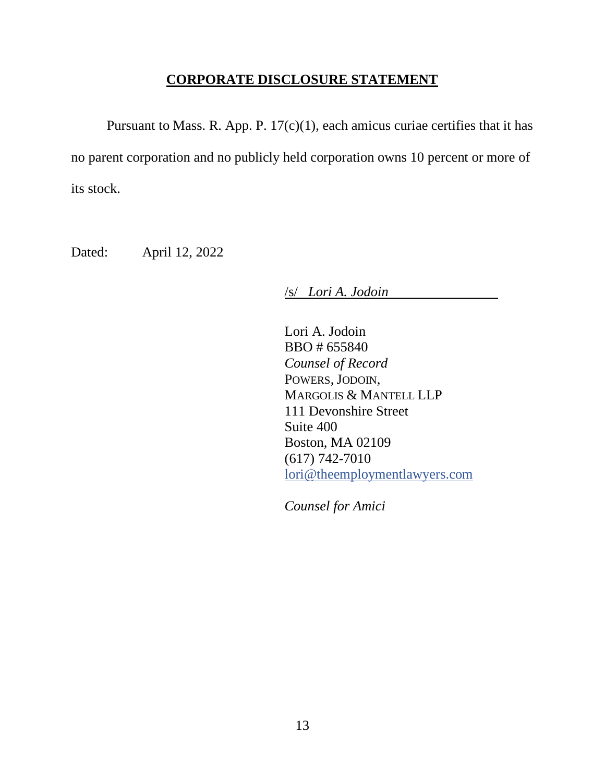## **CORPORATE DISCLOSURE STATEMENT**

<span id="page-12-0"></span>Pursuant to Mass. R. App. P.  $17(c)(1)$ , each amicus curiae certifies that it has no parent corporation and no publicly held corporation owns 10 percent or more of its stock.

Dated: April 12, 2022

/s/ *Lori A. Jodoin*

Lori A. Jodoin BBO # 655840 *Counsel of Record*  POWERS, JODOIN, MARGOLIS & MANTELL LLP 111 Devonshire Street Suite 400 Boston, MA 02109 (617) 742-7010 [lori@theemploymentlawyers.com](mailto:lori@theemploymentlawyers.com)

*Counsel for Amici*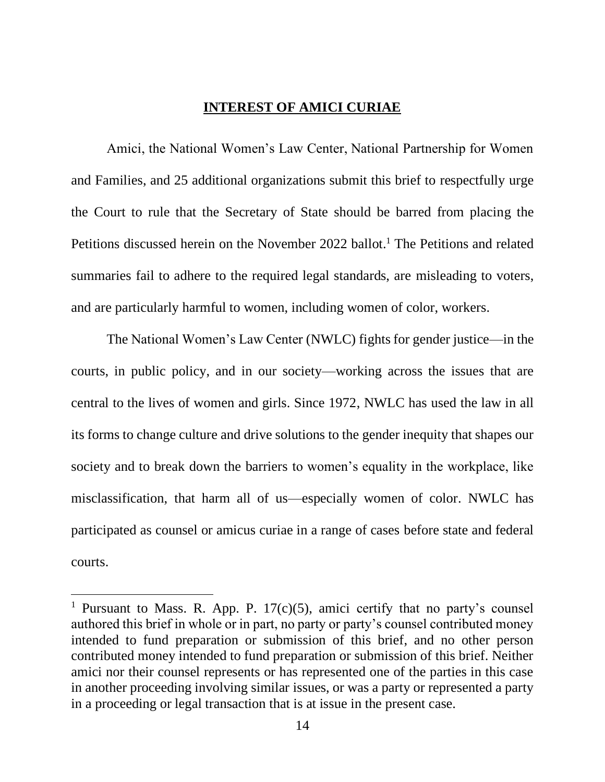#### **INTEREST OF AMICI CURIAE**

<span id="page-13-0"></span>Amici, the National Women's Law Center, National Partnership for Women and Families, and 25 additional organizations submit this brief to respectfully urge the Court to rule that the Secretary of State should be barred from placing the Petitions discussed herein on the November 2022 ballot.<sup>1</sup> The Petitions and related summaries fail to adhere to the required legal standards, are misleading to voters, and are particularly harmful to women, including women of color, workers.

The National Women's Law Center (NWLC) fights for gender justice—in the courts, in public policy, and in our society—working across the issues that are central to the lives of women and girls. Since 1972, NWLC has used the law in all its forms to change culture and drive solutions to the gender inequity that shapes our society and to break down the barriers to women's equality in the workplace, like misclassification, that harm all of us—especially women of color. NWLC has participated as counsel or amicus curiae in a range of cases before state and federal courts.

<sup>&</sup>lt;sup>1</sup> Pursuant to Mass. R. App. P. 17(c)(5), amici certify that no party's counsel authored this brief in whole or in part, no party or party's counsel contributed money intended to fund preparation or submission of this brief, and no other person contributed money intended to fund preparation or submission of this brief. Neither amici nor their counsel represents or has represented one of the parties in this case in another proceeding involving similar issues, or was a party or represented a party in a proceeding or legal transaction that is at issue in the present case.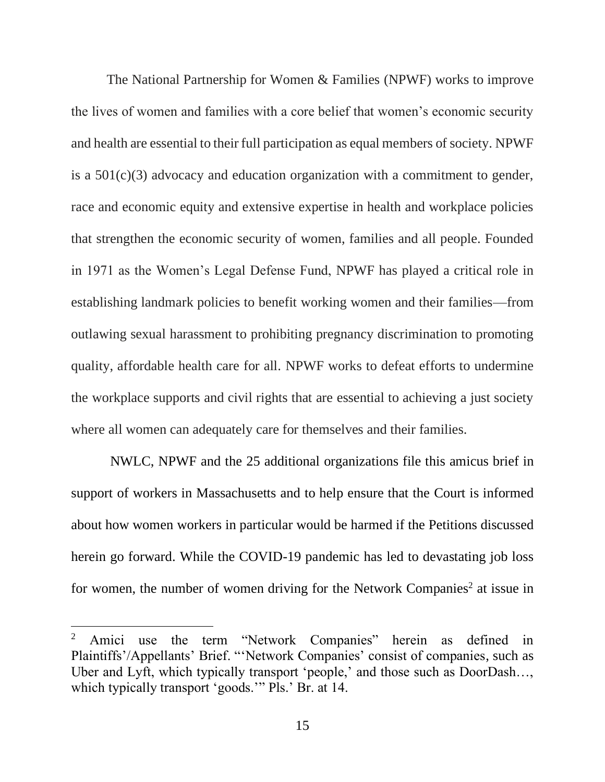The National Partnership for Women & Families (NPWF) works to improve the lives of women and families with a core belief that women's economic security and health are essential to their full participation as equal members of society. NPWF is a  $501(c)(3)$  advocacy and education organization with a commitment to gender, race and economic equity and extensive expertise in health and workplace policies that strengthen the economic security of women, families and all people. Founded in 1971 as the Women's Legal Defense Fund, NPWF has played a critical role in establishing landmark policies to benefit working women and their families—from outlawing sexual harassment to prohibiting pregnancy discrimination to promoting quality, affordable health care for all. NPWF works to defeat efforts to undermine the workplace supports and civil rights that are essential to achieving a just society where all women can adequately care for themselves and their families.

NWLC, NPWF and the 25 additional organizations file this amicus brief in support of workers in Massachusetts and to help ensure that the Court is informed about how women workers in particular would be harmed if the Petitions discussed herein go forward. While the COVID-19 pandemic has led to devastating job loss for women, the number of women driving for the Network Companies<sup>2</sup> at issue in

<sup>&</sup>lt;sup>2</sup> Amici use the term "Network Companies" herein as defined in Plaintiffs'/Appellants' Brief. "'Network Companies' consist of companies, such as Uber and Lyft, which typically transport 'people,' and those such as DoorDash…, which typically transport 'goods.'" Pls.' Br. at 14.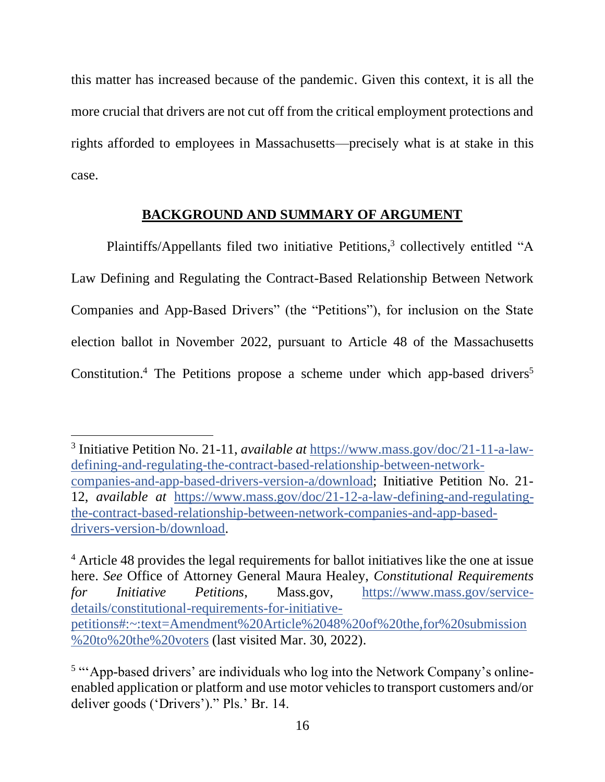this matter has increased because of the pandemic. Given this context, it is all the more crucial that drivers are not cut off from the critical employment protections and rights afforded to employees in Massachusetts—precisely what is at stake in this case.

#### **BACKGROUND AND SUMMARY OF ARGUMENT**

<span id="page-15-0"></span>Plaintiffs/Appellants filed two initiative Petitions,<sup>3</sup> collectively entitled "A Law Defining and Regulating the Contract-Based Relationship Between Network Companies and App-Based Drivers" (the "Petitions"), for inclusion on the State election ballot in November 2022, pursuant to Article 48 of the Massachusetts Constitution.<sup>4</sup> The Petitions propose a scheme under which app-based drivers<sup>5</sup>

<sup>3</sup> Initiative Petition No. 21-11, *available at* [https://www.mass.gov/doc/21-11-a-law](https://www.mass.gov/doc/21-11-a-law-defining-and-regulating-the-contract-based-relationship-between-network-companies-and-app-based-drivers-version-a/download)[defining-and-regulating-the-contract-based-relationship-between-network](https://www.mass.gov/doc/21-11-a-law-defining-and-regulating-the-contract-based-relationship-between-network-companies-and-app-based-drivers-version-a/download)[companies-and-app-based-drivers-version-a/download;](https://www.mass.gov/doc/21-11-a-law-defining-and-regulating-the-contract-based-relationship-between-network-companies-and-app-based-drivers-version-a/download) Initiative Petition No. 21- 12, *available at* [https://www.mass.gov/doc/21-12-a-law-defining-and-regulating](https://www.mass.gov/doc/21-12-a-law-defining-and-regulating-the-contract-based-relationship-between-network-companies-and-app-based-drivers-version-b/download)[the-contract-based-relationship-between-network-companies-and-app-based](https://www.mass.gov/doc/21-12-a-law-defining-and-regulating-the-contract-based-relationship-between-network-companies-and-app-based-drivers-version-b/download)[drivers-version-b/download.](https://www.mass.gov/doc/21-12-a-law-defining-and-regulating-the-contract-based-relationship-between-network-companies-and-app-based-drivers-version-b/download)

<sup>&</sup>lt;sup>4</sup> Article 48 provides the legal requirements for ballot initiatives like the one at issue here. *See* Office of Attorney General Maura Healey, *Constitutional Requirements for Initiative Petitions*, Mass.gov, [https://www.mass.gov/service](https://www.mass.gov/service-details/constitutional-requirements-for-initiative-petitions#:~:text=Amendment%20Article%2048%20of%20the,for%20submission%20to%20the%20voters)[details/constitutional-requirements-for-initiative](https://www.mass.gov/service-details/constitutional-requirements-for-initiative-petitions#:~:text=Amendment%20Article%2048%20of%20the,for%20submission%20to%20the%20voters)[petitions#:~:text=Amendment%20Article%2048%20of%20the,for%20submission](https://www.mass.gov/service-details/constitutional-requirements-for-initiative-petitions#:~:text=Amendment%20Article%2048%20of%20the,for%20submission%20to%20the%20voters) [%20to%20the%20voters](https://www.mass.gov/service-details/constitutional-requirements-for-initiative-petitions#:~:text=Amendment%20Article%2048%20of%20the,for%20submission%20to%20the%20voters) (last visited Mar. 30, 2022).

<sup>&</sup>lt;sup>5</sup> "App-based drivers' are individuals who log into the Network Company's onlineenabled application or platform and use motor vehicles to transport customers and/or deliver goods ('Drivers')." Pls.' Br. 14.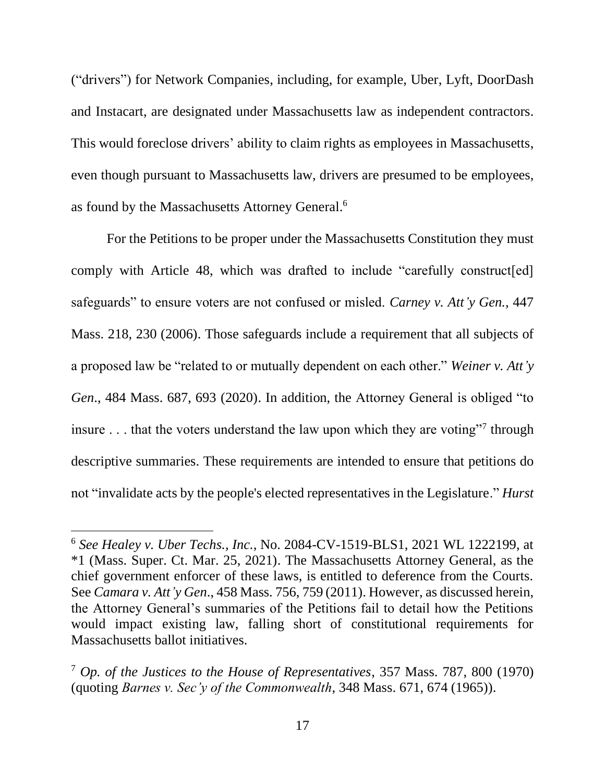("drivers") for Network Companies, including, for example, Uber, Lyft, DoorDash and Instacart, are designated under Massachusetts law as independent contractors. This would foreclose drivers' ability to claim rights as employees in Massachusetts, even though pursuant to Massachusetts law, drivers are presumed to be employees, as found by the Massachusetts Attorney General.<sup>6</sup>

For the Petitions to be proper under the Massachusetts Constitution they must comply with Article 48, which was drafted to include "carefully construct [ed] safeguards" to ensure voters are not confused or misled. *Carney v. Att'y Gen.,* 447 Mass. 218, 230 (2006). Those safeguards include a requirement that all subjects of a proposed law be "related to or mutually dependent on each other." *Weiner v. Att'y Gen*., 484 Mass. 687, 693 (2020). In addition, the Attorney General is obliged "to insure  $\dots$  that the voters understand the law upon which they are voting"<sup>7</sup> through descriptive summaries. These requirements are intended to ensure that petitions do not "invalidate acts by the people's elected representatives in the Legislature." *Hurst* 

<sup>6</sup> *See Healey v. Uber Techs., Inc.*, No. 2084-CV-1519-BLS1, 2021 WL 1222199, at \*1 (Mass. Super. Ct. Mar. 25, 2021). The Massachusetts Attorney General, as the chief government enforcer of these laws, is entitled to deference from the Courts. See *Camara v. Att'y Gen*., 458 Mass. 756, 759 (2011). However, as discussed herein, the Attorney General's summaries of the Petitions fail to detail how the Petitions would impact existing law, falling short of constitutional requirements for Massachusetts ballot initiatives.

<sup>7</sup> *Op. of the Justices to the House of Representatives*, 357 Mass. 787, 800 (1970) (quoting *Barnes v. Sec'y of the Commonwealth*, 348 Mass. 671, 674 (1965)).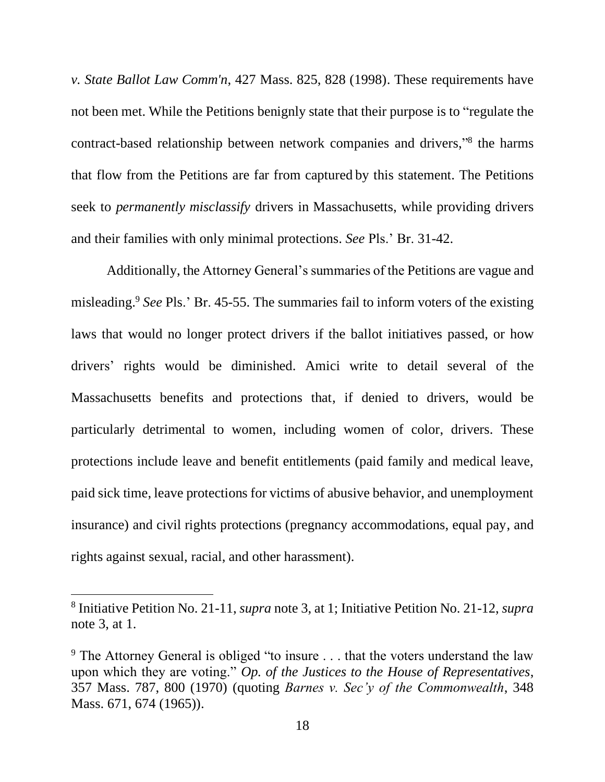*v. State Ballot Law Comm'n*, 427 Mass. 825, 828 (1998). These requirements have not been met. While the Petitions benignly state that their purpose is to "regulate the contract-based relationship between network companies and drivers,"<sup>8</sup> the harms that flow from the Petitions are far from captured by this statement. The Petitions seek to *permanently misclassify* drivers in Massachusetts, while providing drivers and their families with only minimal protections. *See* Pls.' Br. 31-42.

Additionally, the Attorney General's summaries of the Petitions are vague and misleading. <sup>9</sup> *See* Pls.' Br. 45-55. The summaries fail to inform voters of the existing laws that would no longer protect drivers if the ballot initiatives passed, or how drivers' rights would be diminished. Amici write to detail several of the Massachusetts benefits and protections that, if denied to drivers, would be particularly detrimental to women, including women of color, drivers. These protections include leave and benefit entitlements (paid family and medical leave, paid sick time, leave protections for victims of abusive behavior, and unemployment insurance) and civil rights protections (pregnancy accommodations, equal pay, and rights against sexual, racial, and other harassment).

<sup>8</sup> Initiative Petition No. 21-11, *supra* note 3, at 1; Initiative Petition No. 21-12, *supra*  note 3, at 1.

<sup>&</sup>lt;sup>9</sup> The Attorney General is obliged "to insure ... that the voters understand the law upon which they are voting." *Op. of the Justices to the House of Representatives*, 357 Mass. 787, 800 (1970) (quoting *Barnes v. Sec'y of the Commonwealth*, 348 Mass. 671, 674 (1965)).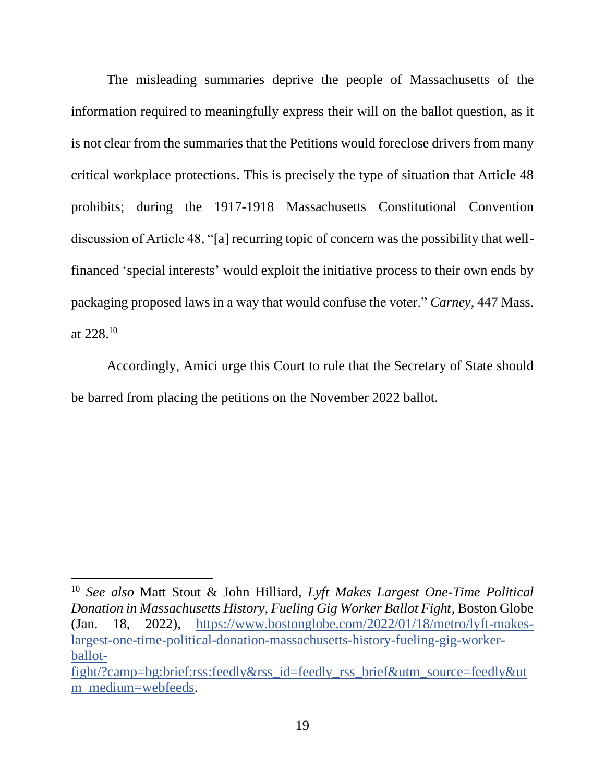The misleading summaries deprive the people of Massachusetts of the information required to meaningfully express their will on the ballot question, as it is not clear from the summaries that the Petitions would foreclose drivers from many critical workplace protections. This is precisely the type of situation that Article 48 prohibits; during the 1917-1918 Massachusetts Constitutional Convention discussion of Article 48, "[a] recurring topic of concern was the possibility that wellfinanced 'special interests' would exploit the initiative process to their own ends by packaging proposed laws in a way that would confuse the voter." *Carney*, 447 Mass. at 228. 10

Accordingly, Amici urge this Court to rule that the Secretary of State should be barred from placing the petitions on the November 2022 ballot.

<sup>10</sup> *See also* Matt Stout & John Hilliard, *Lyft Makes Largest One-Time Political Donation in Massachusetts History, Fueling Gig Worker Ballot Fight*, Boston Globe (Jan. 18, 2022), [https://www.bostonglobe.com/2022/01/18/metro/lyft-makes](https://www.bostonglobe.com/2022/01/18/metro/lyft-makes-largest-one-time-political-donation-massachusetts-history-fueling-gig-worker-ballot-fight/?camp=bg:brief:rss:feedly&rss_id=feedly_rss_brief&utm_source=feedly&utm_medium=webfeeds)[largest-one-time-political-donation-massachusetts-history-fueling-gig-worker](https://www.bostonglobe.com/2022/01/18/metro/lyft-makes-largest-one-time-political-donation-massachusetts-history-fueling-gig-worker-ballot-fight/?camp=bg:brief:rss:feedly&rss_id=feedly_rss_brief&utm_source=feedly&utm_medium=webfeeds)[ballot-](https://www.bostonglobe.com/2022/01/18/metro/lyft-makes-largest-one-time-political-donation-massachusetts-history-fueling-gig-worker-ballot-fight/?camp=bg:brief:rss:feedly&rss_id=feedly_rss_brief&utm_source=feedly&utm_medium=webfeeds)

[fight/?camp=bg:brief:rss:feedly&rss\\_id=feedly\\_rss\\_brief&utm\\_source=feedly&ut](https://www.bostonglobe.com/2022/01/18/metro/lyft-makes-largest-one-time-political-donation-massachusetts-history-fueling-gig-worker-ballot-fight/?camp=bg:brief:rss:feedly&rss_id=feedly_rss_brief&utm_source=feedly&utm_medium=webfeeds) [m\\_medium=webfeeds.](https://www.bostonglobe.com/2022/01/18/metro/lyft-makes-largest-one-time-political-donation-massachusetts-history-fueling-gig-worker-ballot-fight/?camp=bg:brief:rss:feedly&rss_id=feedly_rss_brief&utm_source=feedly&utm_medium=webfeeds)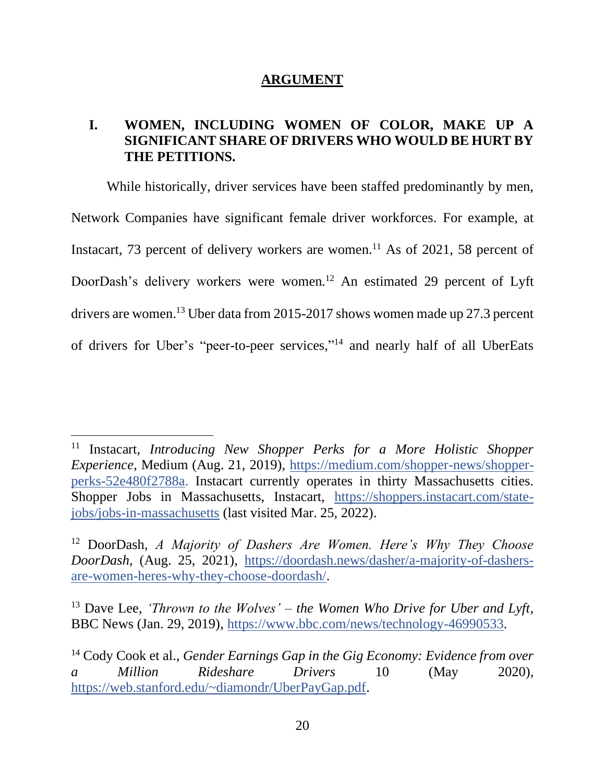#### **ARGUMENT**

## <span id="page-19-1"></span><span id="page-19-0"></span>**I. WOMEN, INCLUDING WOMEN OF COLOR, MAKE UP A SIGNIFICANT SHARE OF DRIVERS WHO WOULD BE HURT BY THE PETITIONS.**

While historically, driver services have been staffed predominantly by men, Network Companies have significant female driver workforces. For example, at Instacart, 73 percent of delivery workers are women.<sup>11</sup> As of 2021, 58 percent of DoorDash's delivery workers were women.<sup>12</sup> An estimated 29 percent of Lyft drivers are women. <sup>13</sup> Uber data from 2015-2017 shows women made up 27.3 percent of drivers for Uber's "peer-to-peer services," <sup>14</sup> and nearly half of all UberEats

<sup>11</sup> Instacart, *Introducing New Shopper Perks for a More Holistic Shopper Experience*, Medium (Aug. 21, 2019), [https://medium.com/shopper-news/shopper](https://medium.com/shopper-news/shopper-perks-52e480f2788a)[perks-52e480f2788a.](https://medium.com/shopper-news/shopper-perks-52e480f2788a) Instacart currently operates in thirty Massachusetts cities. Shopper Jobs in Massachusetts, Instacart, [https://shoppers.instacart.com/state](https://shoppers.instacart.com/state-jobs/jobs-in-massachusetts)[jobs/jobs-in-massachusetts](https://shoppers.instacart.com/state-jobs/jobs-in-massachusetts) (last visited Mar. 25, 2022).

<sup>12</sup> DoorDash, *A Majority of Dashers Are Women. Here's Why They Choose DoorDash*, (Aug. 25, 2021), [https://doordash.news/dasher/a-majority-of-dashers](https://doordash.news/dasher/a-majority-of-dashers-are-women-heres-why-they-choose-doordash/)[are-women-heres-why-they-choose-doordash/.](https://doordash.news/dasher/a-majority-of-dashers-are-women-heres-why-they-choose-doordash/)

<sup>&</sup>lt;sup>13</sup> Dave Lee, *'Thrown to the Wolves' – the Women Who Drive for Uber and Lyft*, BBC News (Jan. 29, 2019), [https://www.bbc.com/news/technology-46990533.](https://www.bbc.com/news/technology-46990533)

<sup>14</sup> Cody Cook et al., *Gender Earnings Gap in the Gig Economy: Evidence from over a Million Rideshare Drivers* 10 (May 2020), [https://web.stanford.edu/~diamondr/UberPayGap.pdf.](https://web.stanford.edu/~diamondr/UberPayGap.pdf)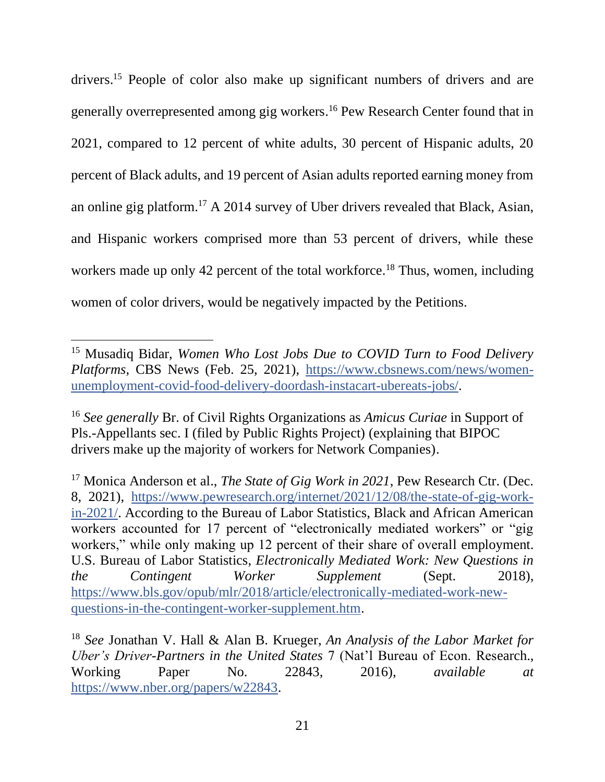drivers.<sup>15</sup> People of color also make up significant numbers of drivers and are generally overrepresented among gig workers. <sup>16</sup> Pew Research Center found that in 2021, compared to 12 percent of white adults, 30 percent of Hispanic adults, 20 percent of Black adults, and 19 percent of Asian adults reported earning money from an online gig platform.<sup>17</sup> A 2014 survey of Uber drivers revealed that Black, Asian, and Hispanic workers comprised more than 53 percent of drivers, while these workers made up only 42 percent of the total workforce.<sup>18</sup> Thus, women, including women of color drivers, would be negatively impacted by the Petitions.

<sup>15</sup> Musadiq Bidar, *Women Who Lost Jobs Due to COVID Turn to Food Delivery Platforms*, CBS News (Feb. 25, 2021), [https://www.cbsnews.com/news/women](https://www.cbsnews.com/news/women-unemployment-covid-food-delivery-doordash-instacart-ubereats-jobs/)[unemployment-covid-food-delivery-doordash-instacart-ubereats-jobs/.](https://www.cbsnews.com/news/women-unemployment-covid-food-delivery-doordash-instacart-ubereats-jobs/)

<sup>16</sup> *See generally* Br. of Civil Rights Organizations as *Amicus Curiae* in Support of Pls.-Appellants sec. I (filed by Public Rights Project) (explaining that BIPOC drivers make up the majority of workers for Network Companies).

<sup>&</sup>lt;sup>17</sup> Monica Anderson et al., *The State of Gig Work in 2021*, Pew Research Ctr. (Dec. 8, 2021), [https://www.pewresearch.org/internet/2021/12/08/the-state-of-gig-work](https://www.pewresearch.org/internet/2021/12/08/the-state-of-gig-work-in-2021/)[in-2021/.](https://www.pewresearch.org/internet/2021/12/08/the-state-of-gig-work-in-2021/) According to the Bureau of Labor Statistics, Black and African American workers accounted for 17 percent of "electronically mediated workers" or "gig workers," while only making up 12 percent of their share of overall employment. U.S. Bureau of Labor Statistics, *Electronically Mediated Work: New Questions in the Contingent Worker Supplement* (Sept. 2018), [https://www.bls.gov/opub/mlr/2018/article/electronically-mediated-work-new](https://www.bls.gov/opub/mlr/2018/article/electronically-mediated-work-new-questions-in-the-contingent-worker-supplement.htm)[questions-in-the-contingent-worker-supplement.htm.](https://www.bls.gov/opub/mlr/2018/article/electronically-mediated-work-new-questions-in-the-contingent-worker-supplement.htm)

<sup>18</sup> *See* Jonathan V. Hall & Alan B. Krueger, *An Analysis of the Labor Market for Uber's Driver-Partners in the United States* 7 (Nat'l Bureau of Econ. Research., Working Paper No. 22843, 2016), *available at* [https://www.nber.org/papers/w22843.](https://www.nber.org/papers/w22843)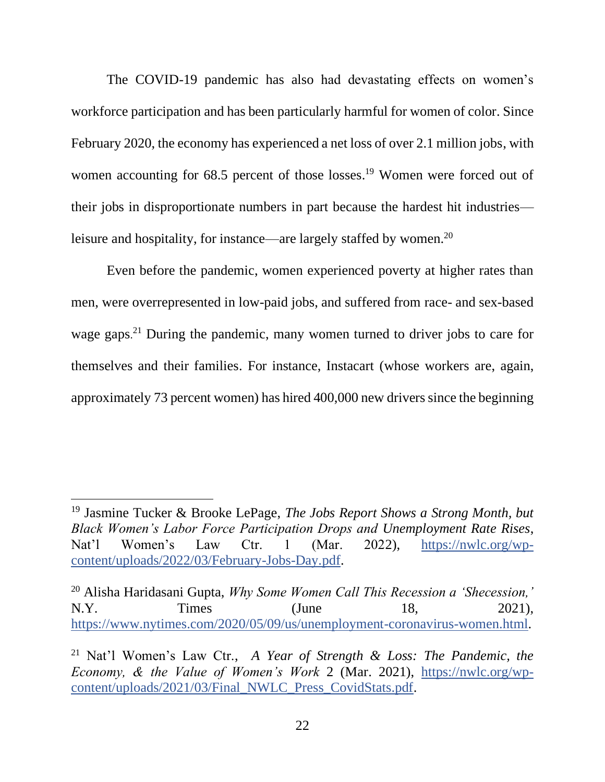The COVID-19 pandemic has also had devastating effects on women's workforce participation and has been particularly harmful for women of color. Since February 2020, the economy has experienced a net loss of over 2.1 million jobs, with women accounting for 68.5 percent of those losses.<sup>19</sup> Women were forced out of their jobs in disproportionate numbers in part because the hardest hit industries leisure and hospitality, for instance—are largely staffed by women.<sup>20</sup>

Even before the pandemic, women experienced poverty at higher rates than men, were overrepresented in low-paid jobs, and suffered from race- and sex-based wage gaps.<sup>21</sup> During the pandemic, many women turned to driver jobs to care for themselves and their families. For instance, Instacart (whose workers are, again, approximately 73 percent women) has hired 400,000 new driverssince the beginning

<sup>20</sup> Alisha Haridasani Gupta, *Why Some Women Call This Recession a 'Shecession,'*  N.Y. Times (June 18, 2021), [https://www.nytimes.com/2020/05/09/us/unemployment-coronavirus-women.html.](https://www.nytimes.com/2020/05/09/us/unemployment-coronavirus-women.html)

<sup>19</sup> Jasmine Tucker & Brooke LePage, *The Jobs Report Shows a Strong Month, but Black Women's Labor Force Participation Drops and Unemployment Rate Rises*, Nat'l Women's Law Ctr. 1 (Mar. 2022), [https://nwlc.org/wp](https://nwlc.org/wp-content/uploads/2022/03/February-Jobs-Day.pdf)[content/uploads/2022/03/February-Jobs-Day.pdf.](https://nwlc.org/wp-content/uploads/2022/03/February-Jobs-Day.pdf)

<sup>21</sup> Nat'l Women's Law Ctr., *A Year of Strength & Loss: The Pandemic, the Economy, & the Value of Women's Work* 2 (Mar. 2021), [https://nwlc.org/wp](https://nwlc.org/wp-content/uploads/2021/03/Final_NWLC_Press_CovidStats.pdf)[content/uploads/2021/03/Final\\_NWLC\\_Press\\_CovidStats.pdf.](https://nwlc.org/wp-content/uploads/2021/03/Final_NWLC_Press_CovidStats.pdf)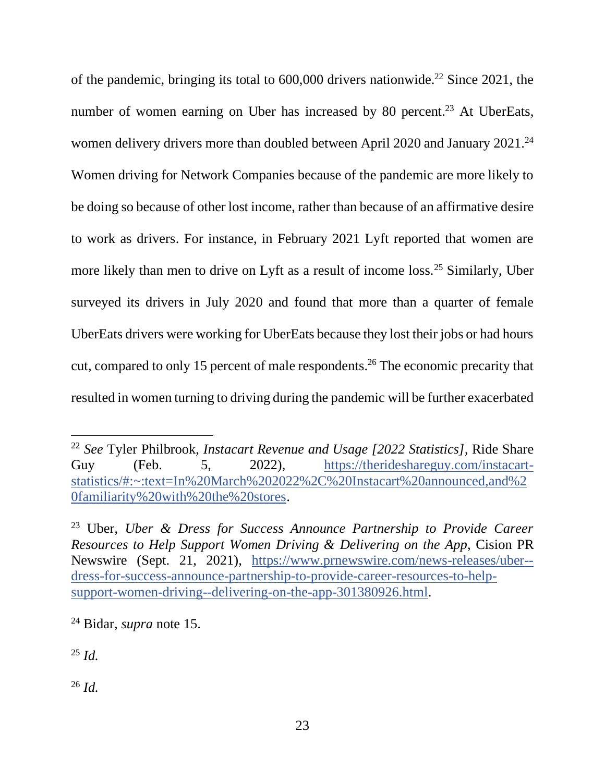of the pandemic, bringing its total to  $600,000$  drivers nationwide.<sup>22</sup> Since 2021, the number of women earning on Uber has increased by 80 percent.<sup>23</sup> At UberEats, women delivery drivers more than doubled between April 2020 and January 2021.<sup>24</sup> Women driving for Network Companies because of the pandemic are more likely to be doing so because of other lost income, rather than because of an affirmative desire to work as drivers. For instance, in February 2021 Lyft reported that women are more likely than men to drive on Lyft as a result of income loss.<sup>25</sup> Similarly, Uber surveyed its drivers in July 2020 and found that more than a quarter of female UberEats drivers were working for UberEats because they lost their jobs or had hours cut, compared to only 15 percent of male respondents. <sup>26</sup> The economic precarity that resulted in women turning to driving during the pandemic will be further exacerbated

<sup>25</sup> *Id.*

<sup>26</sup> *Id.*

<sup>22</sup> *See* Tyler Philbrook, *Instacart Revenue and Usage [2022 Statistics]*, Ride Share Guy (Feb. 5, 2022), [https://therideshareguy.com/instacart](https://therideshareguy.com/instacart-statistics/#:~:text=In%20March%202022%2C%20Instacart%20announced,and%20familiarity%20with%20the%20stores)[statistics/#:~:text=In%20March%202022%2C%20Instacart%20announced,and%2](https://therideshareguy.com/instacart-statistics/#:~:text=In%20March%202022%2C%20Instacart%20announced,and%20familiarity%20with%20the%20stores) [0familiarity%20with%20the%20stores.](https://therideshareguy.com/instacart-statistics/#:~:text=In%20March%202022%2C%20Instacart%20announced,and%20familiarity%20with%20the%20stores)

<sup>23</sup> Uber, *Uber & Dress for Success Announce Partnership to Provide Career Resources to Help Support Women Driving & Delivering on the App*, Cision PR Newswire (Sept. 21, 2021), [https://www.prnewswire.com/news-releases/uber-](https://www.prnewswire.com/news-releases/uber--dress-for-success-announce-partnership-to-provide-career-resources-to-help-support-women-driving--delivering-on-the-app-301380926.html) [dress-for-success-announce-partnership-to-provide-career-resources-to-help](https://www.prnewswire.com/news-releases/uber--dress-for-success-announce-partnership-to-provide-career-resources-to-help-support-women-driving--delivering-on-the-app-301380926.html)[support-women-driving--delivering-on-the-app-301380926.html.](https://www.prnewswire.com/news-releases/uber--dress-for-success-announce-partnership-to-provide-career-resources-to-help-support-women-driving--delivering-on-the-app-301380926.html)

<sup>24</sup> Bidar, *supra* note 15.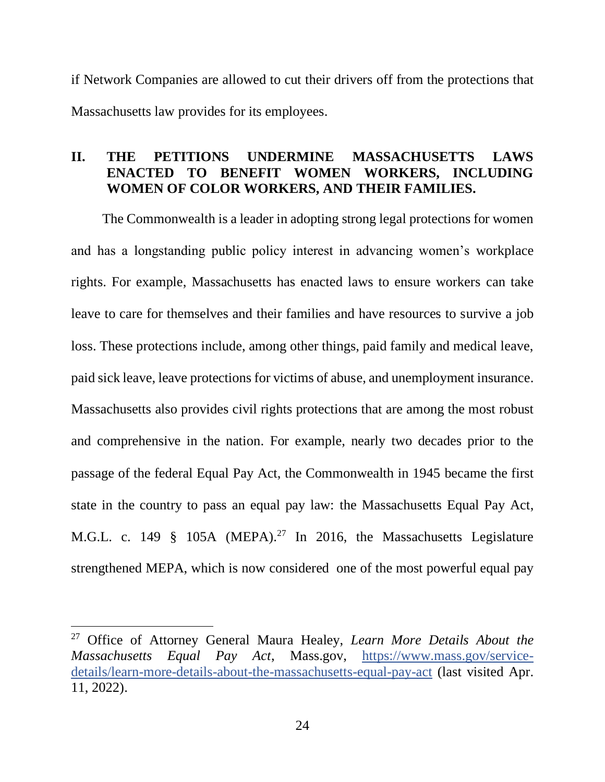if Network Companies are allowed to cut their drivers off from the protections that Massachusetts law provides for its employees.

## <span id="page-23-0"></span>**II. THE PETITIONS UNDERMINE MASSACHUSETTS LAWS ENACTED TO BENEFIT WOMEN WORKERS, INCLUDING WOMEN OF COLOR WORKERS, AND THEIR FAMILIES.**

The Commonwealth is a leader in adopting strong legal protections for women and has a longstanding public policy interest in advancing women's workplace rights. For example, Massachusetts has enacted laws to ensure workers can take leave to care for themselves and their families and have resources to survive a job loss. These protections include, among other things, paid family and medical leave, paid sick leave, leave protections for victims of abuse, and unemployment insurance. Massachusetts also provides civil rights protections that are among the most robust and comprehensive in the nation. For example, nearly two decades prior to the passage of the federal Equal Pay Act, the Commonwealth in 1945 became the first state in the country to pass an equal pay law: the Massachusetts Equal Pay Act, M.G.L. c. 149  $\frac{8}{9}$  105A (MEPA).<sup>27</sup> In 2016, the Massachusetts Legislature strengthened MEPA, which is now considered one of the most powerful equal pay

<sup>27</sup> Office of Attorney General Maura Healey, *Learn More Details About the Massachusetts Equal Pay Act*, Mass.gov, [https://www.mass.gov/service](https://www.mass.gov/service-details/learn-more-details-about-the-massachusetts-equal-pay-act)[details/learn-more-details-about-the-massachusetts-equal-pay-act](https://www.mass.gov/service-details/learn-more-details-about-the-massachusetts-equal-pay-act) (last visited Apr. 11, 2022).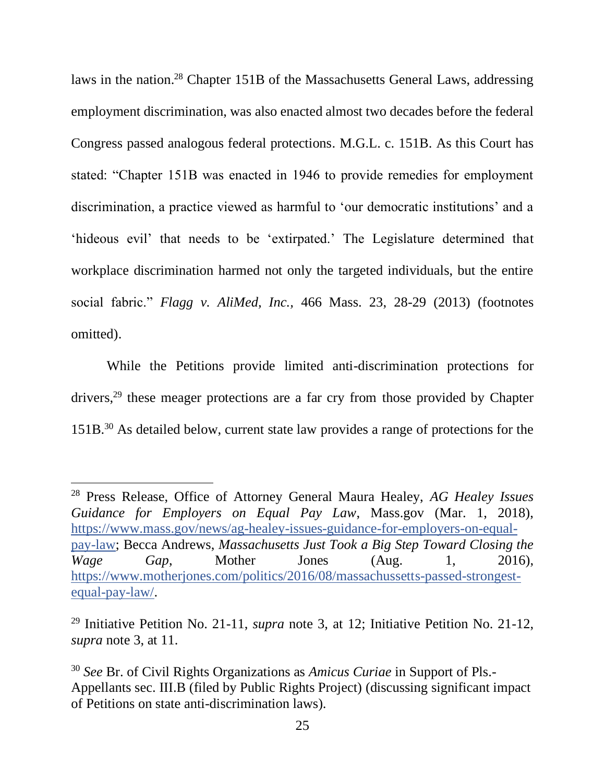laws in the nation.<sup>28</sup> Chapter 151B of the Massachusetts General Laws, addressing employment discrimination, was also enacted almost two decades before the federal Congress passed analogous federal protections. M.G.L. c. 151B. As this Court has stated: "Chapter 151B was enacted in 1946 to provide remedies for employment discrimination, a practice viewed as harmful to 'our democratic institutions' and a 'hideous evil' that needs to be 'extirpated.' The Legislature determined that workplace discrimination harmed not only the targeted individuals, but the entire social fabric." *Flagg v. AliMed, Inc.,* 466 Mass. 23, 28-29 (2013) (footnotes omitted).

While the Petitions provide limited anti-discrimination protections for drivers,<sup>29</sup> these meager protections are a far cry from those provided by Chapter 151B.<sup>30</sup> As detailed below, current state law provides a range of protections for the

<sup>28</sup> Press Release, Office of Attorney General Maura Healey, *AG Healey Issues Guidance for Employers on Equal Pay Law*, Mass.gov (Mar. 1, 2018), [https://www.mass.gov/news/ag-healey-issues-guidance-for-employers-on-equal](https://www.mass.gov/news/ag-healey-issues-guidance-for-employers-on-equal-pay-law)[pay-law;](https://www.mass.gov/news/ag-healey-issues-guidance-for-employers-on-equal-pay-law) Becca Andrews, *Massachusetts Just Took a Big Step Toward Closing the Wage Gap*, Mother Jones (Aug. 1, 2016), [https://www.motherjones.com/politics/2016/08/massachussetts-passed-strongest](https://www.motherjones.com/politics/2016/08/massachussetts-passed-strongest-equal-pay-law/)[equal-pay-law/.](https://www.motherjones.com/politics/2016/08/massachussetts-passed-strongest-equal-pay-law/)

<sup>29</sup> Initiative Petition No. 21-11, *supra* note 3, at 12; Initiative Petition No. 21-12, *supra* note 3, at 11.

<sup>30</sup> *See* Br. of Civil Rights Organizations as *Amicus Curiae* in Support of Pls.- Appellants sec. III.B (filed by Public Rights Project) (discussing significant impact of Petitions on state anti-discrimination laws).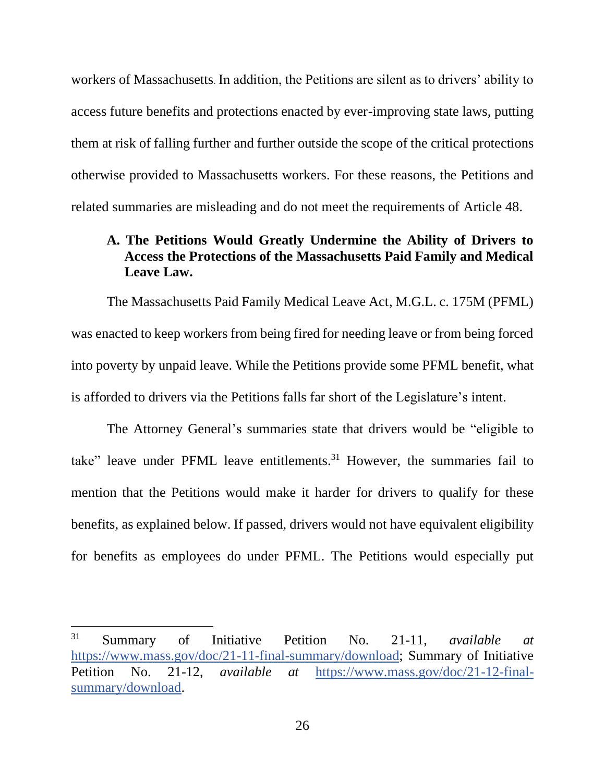workers of Massachusetts. In addition, the Petitions are silent as to drivers' ability to access future benefits and protections enacted by ever-improving state laws, putting them at risk of falling further and further outside the scope of the critical protections otherwise provided to Massachusetts workers. For these reasons, the Petitions and related summaries are misleading and do not meet the requirements of Article 48.

## <span id="page-25-0"></span>**A. The Petitions Would Greatly Undermine the Ability of Drivers to Access the Protections of the Massachusetts Paid Family and Medical Leave Law.**

The Massachusetts Paid Family Medical Leave Act, M.G.L. c. 175M (PFML) was enacted to keep workers from being fired for needing leave or from being forced into poverty by unpaid leave. While the Petitions provide some PFML benefit, what is afforded to drivers via the Petitions falls far short of the Legislature's intent.

The Attorney General's summaries state that drivers would be "eligible to take" leave under PFML leave entitlements.<sup>31</sup> However, the summaries fail to mention that the Petitions would make it harder for drivers to qualify for these benefits, as explained below. If passed, drivers would not have equivalent eligibility for benefits as employees do under PFML. The Petitions would especially put

<sup>31</sup> Summary of Initiative Petition No. 21-11, *available at*  [https://www.mass.gov/doc/21-11-final-summary/download;](https://www.mass.gov/doc/21-11-final-summary/download) Summary of Initiative Petition No. 21-12, *available at* [https://www.mass.gov/doc/21-12-final](https://www.mass.gov/doc/21-12-final-summary/download)[summary/download.](https://www.mass.gov/doc/21-12-final-summary/download)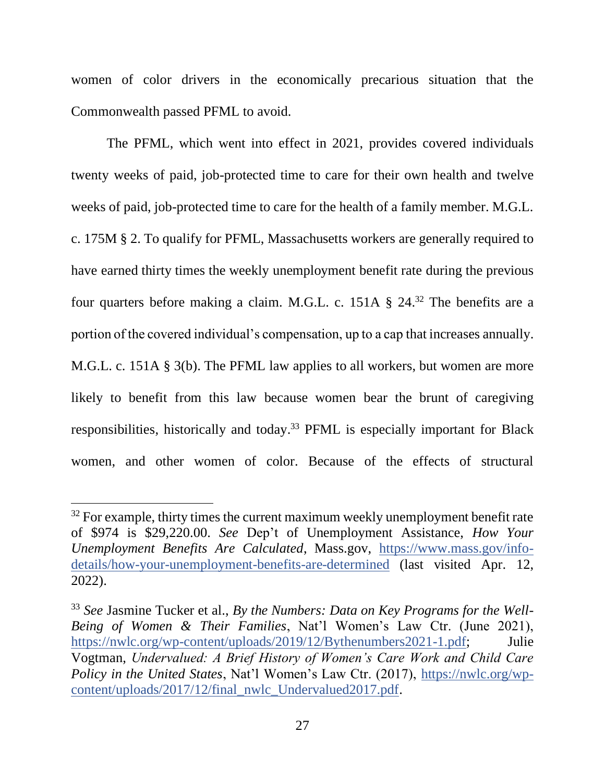women of color drivers in the economically precarious situation that the Commonwealth passed PFML to avoid.

The PFML, which went into effect in 2021, provides covered individuals twenty weeks of paid, job-protected time to care for their own health and twelve weeks of paid, job-protected time to care for the health of a family member. M.G.L. c. 175M § 2. To qualify for PFML, Massachusetts workers are generally required to have earned thirty times the weekly unemployment benefit rate during the previous four quarters before making a claim. M.G.L. c. 151A § 24.<sup>32</sup> The benefits are a portion of the covered individual's compensation, up to a cap that increases annually. M.G.L. c. 151A § 3(b). The PFML law applies to all workers, but women are more likely to benefit from this law because women bear the brunt of caregiving responsibilities, historically and today.<sup>33</sup> PFML is especially important for Black women, and other women of color. Because of the effects of structural

 $32$  For example, thirty times the current maximum weekly unemployment benefit rate of \$974 is \$29,220.00. *See* Dep't of Unemployment Assistance, *How Your Unemployment Benefits Are Calculated*, Mass.gov, [https://www.mass.gov/info](https://www.mass.gov/info-details/how-your-unemployment-benefits-are-determined)[details/how-your-unemployment-benefits-are-determined](https://www.mass.gov/info-details/how-your-unemployment-benefits-are-determined) (last visited Apr. 12, 2022).

<sup>33</sup> *See* Jasmine Tucker et al., *By the Numbers: Data on Key Programs for the Well-Being of Women & Their Families*, Nat'l Women's Law Ctr. (June 2021), [https://nwlc.org/wp-content/uploads/2019/12/Bythenumbers2021-1.pdf;](https://nwlc.org/wp-content/uploads/2019/12/Bythenumbers2021-1.pdf) Julie Vogtman, *Undervalued: A Brief History of Women's Care Work and Child Care Policy in the United States*, Nat'l Women's Law Ctr. (2017), [https://nwlc.org/wp](https://nwlc.org/wp-content/uploads/2017/12/final_nwlc_Undervalued2017.pdf)[content/uploads/2017/12/final\\_nwlc\\_Undervalued2017.pdf.](https://nwlc.org/wp-content/uploads/2017/12/final_nwlc_Undervalued2017.pdf)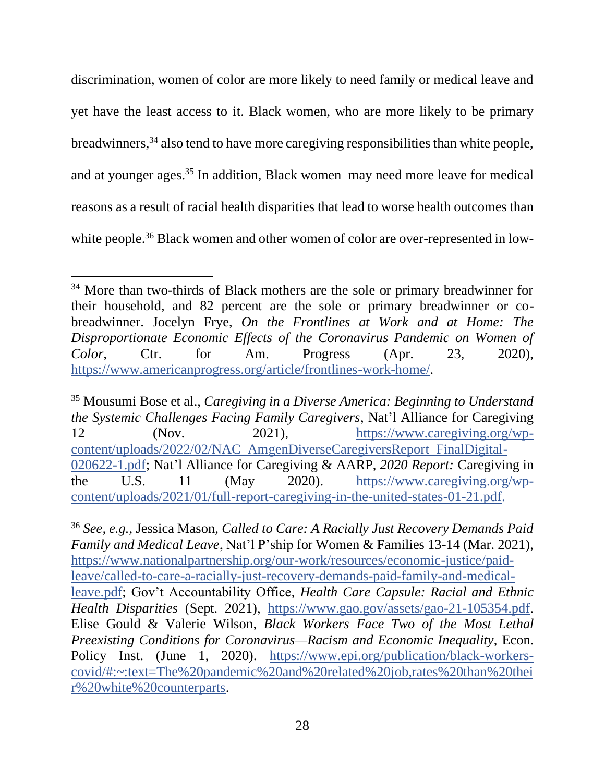discrimination, women of color are more likely to need family or medical leave and yet have the least access to it. Black women, who are more likely to be primary breadwinners,<sup>34</sup> also tend to have more caregiving responsibilities than white people, and at younger ages.<sup>35</sup> In addition, Black women may need more leave for medical reasons as a result of racial health disparities that lead to worse health outcomes than white people.<sup>36</sup> Black women and other women of color are over-represented in low-

<sup>&</sup>lt;sup>34</sup> More than two-thirds of Black mothers are the sole or primary breadwinner for their household, and 82 percent are the sole or primary breadwinner or cobreadwinner. Jocelyn Frye, *On the Frontlines at Work and at Home: The Disproportionate Economic Effects of the Coronavirus Pandemic on Women of Color,* Ctr. for Am. Progress (Apr. 23, 2020), [https://www.americanprogress.org/article/frontlines-work-home/.](https://www.americanprogress.org/article/frontlines-work-home/)

<sup>35</sup> Mousumi Bose et al., *Caregiving in a Diverse America: Beginning to Understand the Systemic Challenges Facing Family Caregivers*, Nat'l Alliance for Caregiving 12 (Nov. 2021), [https://www.caregiving.org/wp](https://www.caregiving.org/wp-content/uploads/2022/02/NAC_AmgenDiverseCaregiversReport_FinalDigital-020622-1.pdf)[content/uploads/2022/02/NAC\\_AmgenDiverseCaregiversReport\\_FinalDigital-](https://www.caregiving.org/wp-content/uploads/2022/02/NAC_AmgenDiverseCaregiversReport_FinalDigital-020622-1.pdf)[020622-1.pdf;](https://www.caregiving.org/wp-content/uploads/2022/02/NAC_AmgenDiverseCaregiversReport_FinalDigital-020622-1.pdf) Nat'l Alliance for Caregiving & AARP, *2020 Report:* Caregiving in the U.S. 11 (May 2020). [https://www.caregiving.org/wp](https://www.caregiving.org/wp-content/uploads/2021/01/full-report-caregiving-in-the-united-states-01-21.pdf)[content/uploads/2021/01/full-report-caregiving-in-the-united-states-01-21.pdf.](https://www.caregiving.org/wp-content/uploads/2021/01/full-report-caregiving-in-the-united-states-01-21.pdf)

<sup>36</sup> *See, e.g.,* Jessica Mason, *Called to Care: A Racially Just Recovery Demands Paid Family and Medical Leave*, Nat'l P'ship for Women & Families 13-14 (Mar. 2021), [https://www.nationalpartnership.org/our-work/resources/economic-justice/paid](https://www.nationalpartnership.org/our-work/resources/economic-justice/paid-leave/called-to-care-a-racially-just-recovery-demands-paid-family-and-medical-leave.pdf)[leave/called-to-care-a-racially-just-recovery-demands-paid-family-and-medical](https://www.nationalpartnership.org/our-work/resources/economic-justice/paid-leave/called-to-care-a-racially-just-recovery-demands-paid-family-and-medical-leave.pdf)[leave.pdf;](https://www.nationalpartnership.org/our-work/resources/economic-justice/paid-leave/called-to-care-a-racially-just-recovery-demands-paid-family-and-medical-leave.pdf) Gov't Accountability Office, *Health Care Capsule: Racial and Ethnic Health Disparities* (Sept. 2021), [https://www.gao.gov/assets/gao-21-105354.pdf.](https://www.gao.gov/assets/gao-21-105354.pdf) Elise Gould & Valerie Wilson, *Black Workers Face Two of the Most Lethal Preexisting Conditions for Coronavirus—Racism and Economic Inequality*, Econ. Policy Inst. (June 1, 2020). [https://www.epi.org/publication/black-workers](https://www.epi.org/publication/black-workers-covid/#:~:text=The%20pandemic%20and%20related%20job,rates%20than%20their%20white%20counterparts)[covid/#:~:text=The%20pandemic%20and%20related%20job,rates%20than%20thei](https://www.epi.org/publication/black-workers-covid/#:~:text=The%20pandemic%20and%20related%20job,rates%20than%20their%20white%20counterparts) [r%20white%20counterparts.](https://www.epi.org/publication/black-workers-covid/#:~:text=The%20pandemic%20and%20related%20job,rates%20than%20their%20white%20counterparts)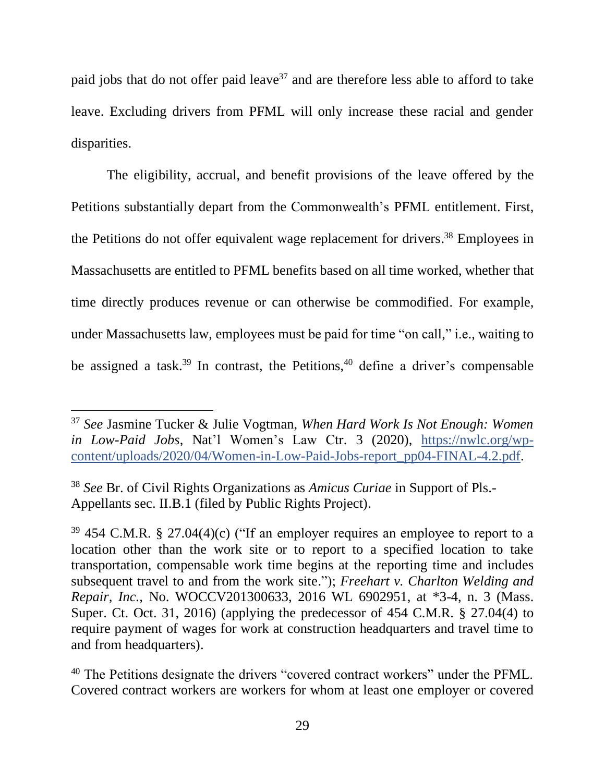paid jobs that do not offer paid leave<sup>37</sup> and are therefore less able to afford to take leave. Excluding drivers from PFML will only increase these racial and gender disparities.

The eligibility, accrual, and benefit provisions of the leave offered by the Petitions substantially depart from the Commonwealth's PFML entitlement. First, the Petitions do not offer equivalent wage replacement for drivers.<sup>38</sup> Employees in Massachusetts are entitled to PFML benefits based on all time worked, whether that time directly produces revenue or can otherwise be commodified. For example, under Massachusetts law, employees must be paid for time "on call," i.e., waiting to be assigned a task.<sup>39</sup> In contrast, the Petitions,<sup>40</sup> define a driver's compensable

<sup>37</sup> *See* Jasmine Tucker & Julie Vogtman, *When Hard Work Is Not Enough: Women in Low-Paid Jobs*, Nat'l Women's Law Ctr. 3 (2020), [https://nwlc.org/wp](https://nwlc.org/wp-content/uploads/2020/04/Women-in-Low-Paid-Jobs-report_pp04-FINAL-4.2.pdf)[content/uploads/2020/04/Women-in-Low-Paid-Jobs-report\\_pp04-FINAL-4.2.pdf.](https://nwlc.org/wp-content/uploads/2020/04/Women-in-Low-Paid-Jobs-report_pp04-FINAL-4.2.pdf)

<sup>38</sup> *See* Br. of Civil Rights Organizations as *Amicus Curiae* in Support of Pls.- Appellants sec. II.B.1 (filed by Public Rights Project).

 $39\,454\,$  C.M.R. § 27.04(4)(c) ("If an employer requires an employee to report to a location other than the work site or to report to a specified location to take transportation, compensable work time begins at the reporting time and includes subsequent travel to and from the work site."); *Freehart v. Charlton Welding and Repair, Inc.,* No. WOCCV201300633, 2016 WL 6902951, at \*3-4, n. 3 (Mass. Super. Ct. Oct. 31, 2016) (applying the predecessor of 454 C.M.R. § 27.04(4) to require payment of wages for work at construction headquarters and travel time to and from headquarters).

<sup>&</sup>lt;sup>40</sup> The Petitions designate the drivers "covered contract workers" under the PFML. Covered contract workers are workers for whom at least one employer or covered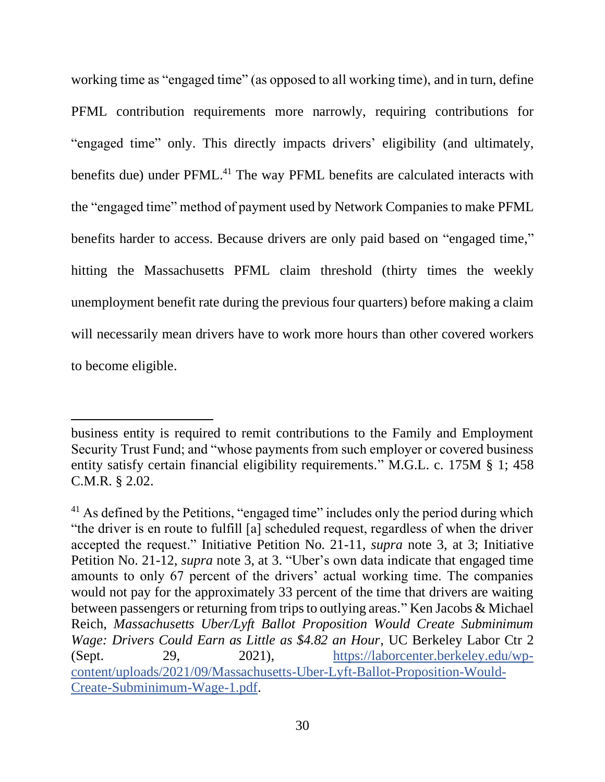working time as "engaged time" (as opposed to all working time), and in turn, define PFML contribution requirements more narrowly, requiring contributions for "engaged time" only. This directly impacts drivers' eligibility (and ultimately, benefits due) under PFML.<sup>41</sup> The way PFML benefits are calculated interacts with the "engaged time" method of payment used by Network Companies to make PFML benefits harder to access. Because drivers are only paid based on "engaged time," hitting the Massachusetts PFML claim threshold (thirty times the weekly unemployment benefit rate during the previous four quarters) before making a claim will necessarily mean drivers have to work more hours than other covered workers to become eligible.

business entity is required to remit contributions to the Family and Employment Security Trust Fund; and "whose payments from such employer or covered business entity satisfy certain financial eligibility requirements." M.G.L. c. 175M § 1; 458 C.M.R. § 2.02.

<sup>&</sup>lt;sup>41</sup> As defined by the Petitions, "engaged time" includes only the period during which "the driver is en route to fulfill [a] scheduled request, regardless of when the driver accepted the request." Initiative Petition No. 21-11, *supra* note 3, at 3; Initiative Petition No. 21-12, *supra* note 3, at 3. "Uber's own data indicate that engaged time amounts to only 67 percent of the drivers' actual working time. The companies would not pay for the approximately 33 percent of the time that drivers are waiting between passengers or returning from trips to outlying areas." Ken Jacobs & Michael Reich, *Massachusetts Uber/Lyft Ballot Proposition Would Create Subminimum Wage: Drivers Could Earn as Little as \$4.82 an Hour*, UC Berkeley Labor Ctr 2 (Sept. 29, 2021), [https://laborcenter.berkeley.edu/wp](https://laborcenter.berkeley.edu/wp-content/uploads/2021/09/Massachusetts-Uber-Lyft-Ballot-Proposition-Would-Create-Subminimum-Wage-1.pdf)[content/uploads/2021/09/Massachusetts-Uber-Lyft-Ballot-Proposition-Would-](https://laborcenter.berkeley.edu/wp-content/uploads/2021/09/Massachusetts-Uber-Lyft-Ballot-Proposition-Would-Create-Subminimum-Wage-1.pdf)[Create-Subminimum-Wage-1.pdf.](https://laborcenter.berkeley.edu/wp-content/uploads/2021/09/Massachusetts-Uber-Lyft-Ballot-Proposition-Would-Create-Subminimum-Wage-1.pdf)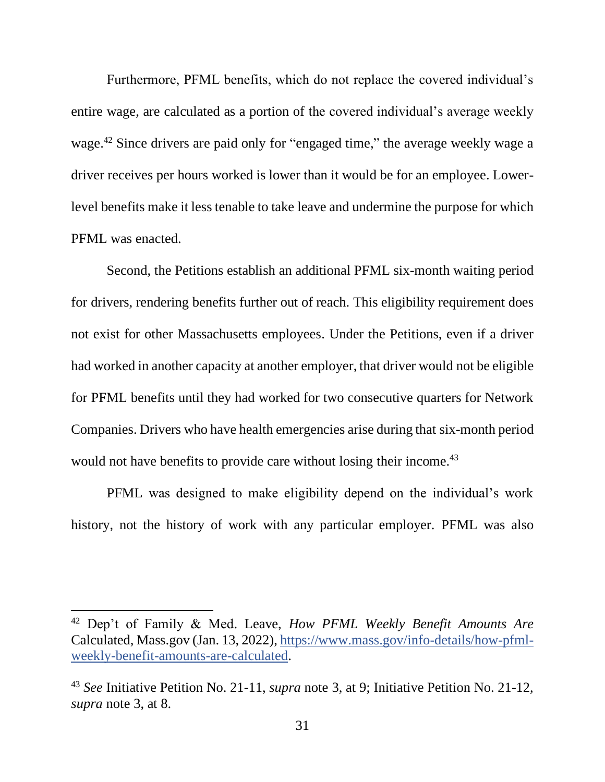Furthermore, PFML benefits, which do not replace the covered individual's entire wage, are calculated as a portion of the covered individual's average weekly wage.<sup>42</sup> Since drivers are paid only for "engaged time," the average weekly wage a driver receives per hours worked is lower than it would be for an employee. Lowerlevel benefits make it less tenable to take leave and undermine the purpose for which PFML was enacted.

Second, the Petitions establish an additional PFML six-month waiting period for drivers, rendering benefits further out of reach. This eligibility requirement does not exist for other Massachusetts employees. Under the Petitions, even if a driver had worked in another capacity at another employer, that driver would not be eligible for PFML benefits until they had worked for two consecutive quarters for Network Companies. Drivers who have health emergencies arise during that six-month period would not have benefits to provide care without losing their income.<sup>43</sup>

PFML was designed to make eligibility depend on the individual's work history, not the history of work with any particular employer. PFML was also

<sup>42</sup> Dep't of Family & Med. Leave, *How PFML Weekly Benefit Amounts Are*  Calculated, Mass.gov (Jan. 13, 2022), [https://www.mass.gov/info-details/how-pfml](https://www.mass.gov/info-details/how-pfml-weekly-benefit-amounts-are-calculated)[weekly-benefit-amounts-are-calculated.](https://www.mass.gov/info-details/how-pfml-weekly-benefit-amounts-are-calculated)

<sup>43</sup> *See* Initiative Petition No. 21-11, *supra* note 3, at 9; Initiative Petition No. 21-12, *supra* note 3, at 8.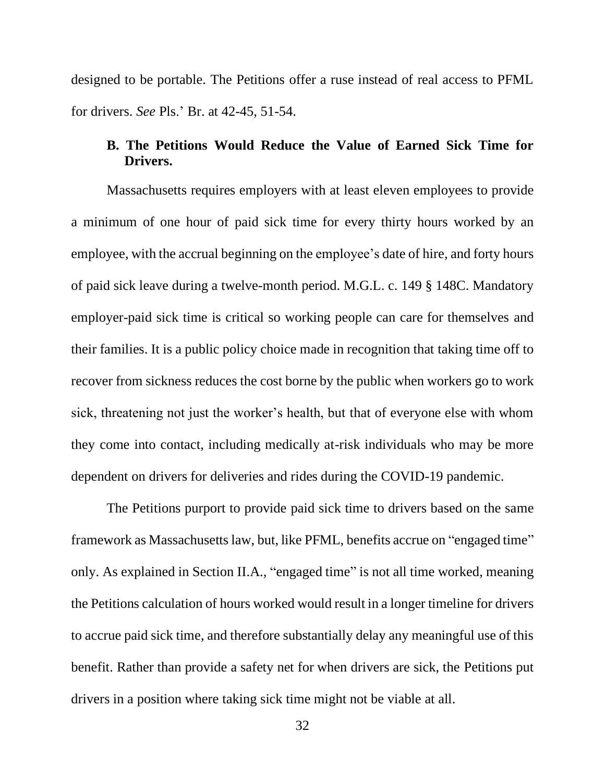designed to be portable. The Petitions offer a ruse instead of real access to PFML for drivers. *See* Pls.' Br. at 42-45, 51-54.

#### <span id="page-31-0"></span>**B. The Petitions Would Reduce the Value of Earned Sick Time for Drivers.**

Massachusetts requires employers with at least eleven employees to provide a minimum of one hour of paid sick time for every thirty hours worked by an employee, with the accrual beginning on the employee's date of hire, and forty hours of paid sick leave during a twelve-month period. M.G.L. c. 149 § 148C. Mandatory employer-paid sick time is critical so working people can care for themselves and their families. It is a public policy choice made in recognition that taking time off to recover from sickness reduces the cost borne by the public when workers go to work sick, threatening not just the worker's health, but that of everyone else with whom they come into contact, including medically at-risk individuals who may be more dependent on drivers for deliveries and rides during the COVID-19 pandemic.

The Petitions purport to provide paid sick time to drivers based on the same framework as Massachusetts law, but, like PFML, benefits accrue on "engaged time" only. As explained in Section II.A., "engaged time" is not all time worked, meaning the Petitions calculation of hours worked would result in a longer timeline for drivers to accrue paid sick time, and therefore substantially delay any meaningful use of this benefit. Rather than provide a safety net for when drivers are sick, the Petitions put drivers in a position where taking sick time might not be viable at all.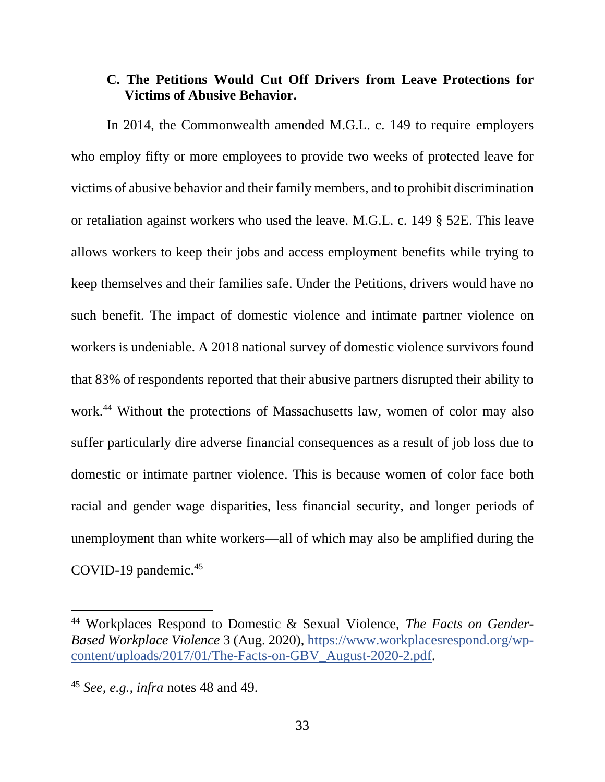### <span id="page-32-0"></span>**C. The Petitions Would Cut Off Drivers from Leave Protections for Victims of Abusive Behavior.**

In 2014, the Commonwealth amended M.G.L. c. 149 to require employers who employ fifty or more employees to provide two weeks of protected leave for victims of abusive behavior and their family members, and to prohibit discrimination or retaliation against workers who used the leave. M.G.L. c. 149 § 52E. This leave allows workers to keep their jobs and access employment benefits while trying to keep themselves and their families safe. Under the Petitions, drivers would have no such benefit. The impact of domestic violence and intimate partner violence on workers is undeniable. A 2018 national survey of domestic violence survivors found that 83% of respondents reported that their abusive partners disrupted their ability to work. <sup>44</sup> Without the protections of Massachusetts law, women of color may also suffer particularly dire adverse financial consequences as a result of job loss due to domestic or intimate partner violence. This is because women of color face both racial and gender wage disparities, less financial security, and longer periods of unemployment than white workers—all of which may also be amplified during the COVID-19 pandemic. 45

<sup>44</sup> Workplaces Respond to Domestic & Sexual Violence, *The Facts on Gender-Based Workplace Violence* 3 (Aug. 2020), [https://www.workplacesrespond.org/wp](https://www.workplacesrespond.org/wp-content/uploads/2017/01/The-Facts-on-GBV_August-2020-2.pdf)[content/uploads/2017/01/The-Facts-on-GBV\\_August-2020-2.pdf.](https://www.workplacesrespond.org/wp-content/uploads/2017/01/The-Facts-on-GBV_August-2020-2.pdf)

<sup>45</sup> *See, e.g., infra* notes 48 and 49.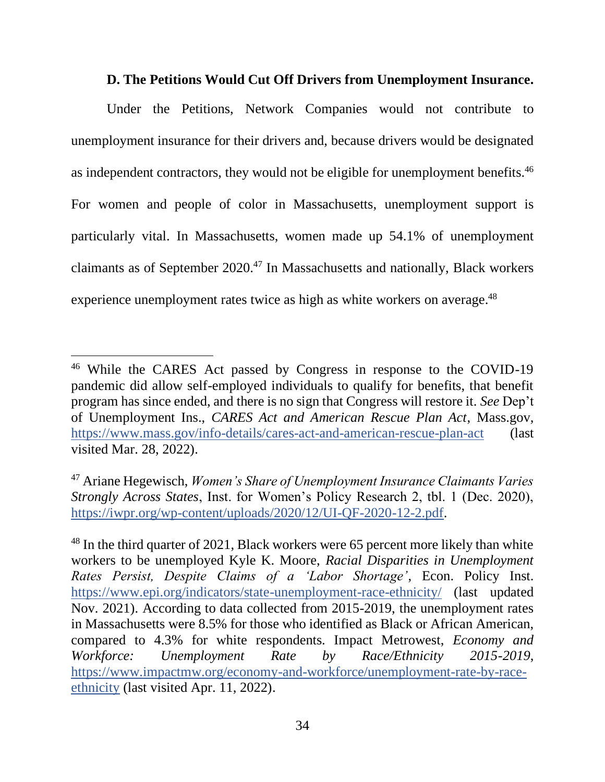#### **D. The Petitions Would Cut Off Drivers from Unemployment Insurance.**

<span id="page-33-0"></span>Under the Petitions, Network Companies would not contribute to unemployment insurance for their drivers and, because drivers would be designated as independent contractors, they would not be eligible for unemployment benefits.<sup>46</sup> For women and people of color in Massachusetts, unemployment support is particularly vital. In Massachusetts, women made up 54.1% of unemployment claimants as of September  $2020$ .<sup>47</sup> In Massachusetts and nationally, Black workers experience unemployment rates twice as high as white workers on average.<sup>48</sup>

<sup>46</sup> While the CARES Act passed by Congress in response to the COVID-19 pandemic did allow self-employed individuals to qualify for benefits, that benefit program has since ended, and there is no sign that Congress will restore it. *See* Dep't of Unemployment Ins., *CARES Act and American Rescue Plan Act*, Mass.gov, <https://www.mass.gov/info-details/cares-act-and-american-rescue-plan-act> (last visited Mar. 28, 2022).

<sup>47</sup> Ariane Hegewisch, *Women's Share of Unemployment Insurance Claimants Varies Strongly Across States*, Inst. for Women's Policy Research 2, tbl. 1 (Dec. 2020), [https://iwpr.org/wp-content/uploads/2020/12/UI-QF-2020-12-2.pdf.](https://iwpr.org/wp-content/uploads/2020/12/UI-QF-2020-12-2.pdf)

<sup>&</sup>lt;sup>48</sup> In the third quarter of 2021, Black workers were 65 percent more likely than white workers to be unemployed Kyle K. Moore, *Racial Disparities in Unemployment Rates Persist, Despite Claims of a 'Labor Shortage'*, Econ. Policy Inst. <https://www.epi.org/indicators/state-unemployment-race-ethnicity/> (last updated Nov. 2021). According to data collected from 2015-2019, the unemployment rates in Massachusetts were 8.5% for those who identified as Black or African American, compared to 4.3% for white respondents. Impact Metrowest, *Economy and Workforce: Unemployment Rate by Race/Ethnicity 2015-2019*, [https://www.impactmw.org/economy-and-workforce/unemployment-rate-by-race](https://www.impactmw.org/economy-and-workforce/unemployment-rate-by-race-ethnicity)[ethnicity](https://www.impactmw.org/economy-and-workforce/unemployment-rate-by-race-ethnicity) (last visited Apr. 11, 2022).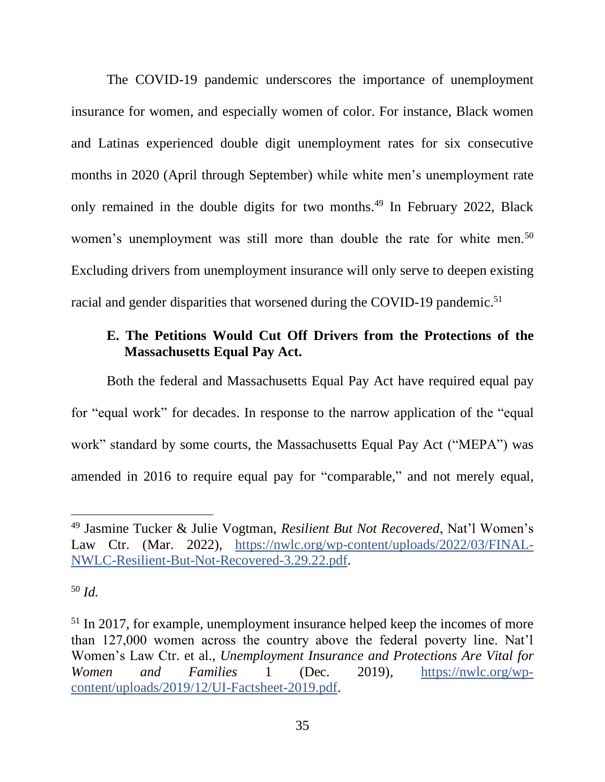The COVID-19 pandemic underscores the importance of unemployment insurance for women, and especially women of color. For instance, Black women and Latinas experienced double digit unemployment rates for six consecutive months in 2020 (April through September) while white men's unemployment rate only remained in the double digits for two months.<sup>49</sup> In February 2022, Black women's unemployment was still more than double the rate for white men.<sup>50</sup> Excluding drivers from unemployment insurance will only serve to deepen existing racial and gender disparities that worsened during the COVID-19 pandemic.<sup>51</sup>

# <span id="page-34-0"></span>**E. The Petitions Would Cut Off Drivers from the Protections of the Massachusetts Equal Pay Act.**

Both the federal and Massachusetts Equal Pay Act have required equal pay for "equal work" for decades. In response to the narrow application of the "equal work" standard by some courts, the Massachusetts Equal Pay Act ("MEPA") was amended in 2016 to require equal pay for "comparable," and not merely equal,

<sup>49</sup> Jasmine Tucker & Julie Vogtman, *Resilient But Not Recovered*, Nat'l Women's Law Ctr. (Mar. 2022), [https://nwlc.org/wp-content/uploads/2022/03/FINAL-](https://nwlc.org/wp-content/uploads/2022/03/FINAL-NWLC-Resilient-But-Not-Recovered-3.29.22.pdf)[NWLC-Resilient-But-Not-Recovered-3.29.22.pdf.](https://nwlc.org/wp-content/uploads/2022/03/FINAL-NWLC-Resilient-But-Not-Recovered-3.29.22.pdf)

<sup>50</sup> *Id.*

<sup>&</sup>lt;sup>51</sup> In 2017, for example, unemployment insurance helped keep the incomes of more than 127,000 women across the country above the federal poverty line. Nat'l Women's Law Ctr. et al., *Unemployment Insurance and Protections Are Vital for Women and Families* 1 (Dec. 2019), [https://nwlc.org/wp](https://nwlc.org/wp-content/uploads/2019/12/UI-Factsheet-2019.pdf)[content/uploads/2019/12/UI-Factsheet-2019.pdf.](https://nwlc.org/wp-content/uploads/2019/12/UI-Factsheet-2019.pdf)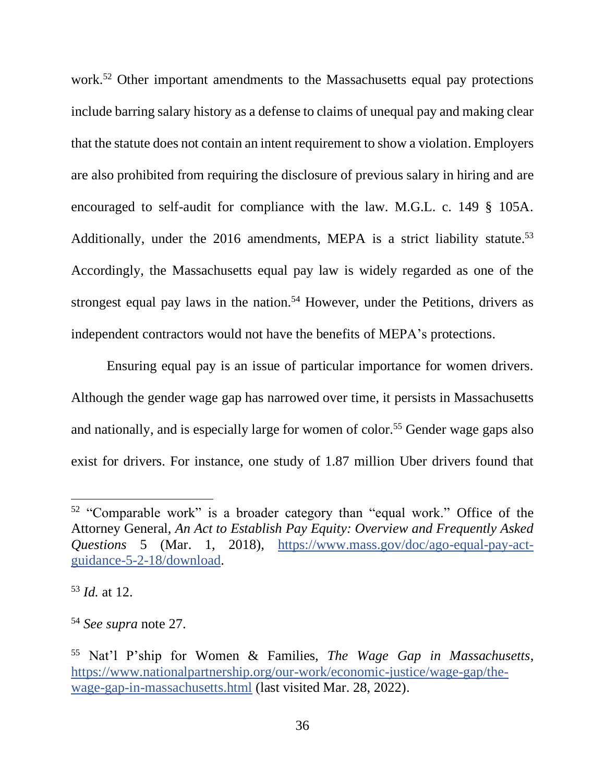work.<sup>52</sup> Other important amendments to the Massachusetts equal pay protections include barring salary history as a defense to claims of unequal pay and making clear that the statute does not contain an intent requirement to show a violation. Employers are also prohibited from requiring the disclosure of previous salary in hiring and are encouraged to self-audit for compliance with the law. M.G.L. c. 149 § 105A. Additionally, under the 2016 amendments, MEPA is a strict liability statute.<sup>53</sup> Accordingly, the Massachusetts equal pay law is widely regarded as one of the strongest equal pay laws in the nation.<sup>54</sup> However, under the Petitions, drivers as independent contractors would not have the benefits of MEPA's protections.

Ensuring equal pay is an issue of particular importance for women drivers. Although the gender wage gap has narrowed over time, it persists in Massachusetts and nationally, and is especially large for women of color.<sup>55</sup> Gender wage gaps also exist for drivers. For instance, one study of 1.87 million Uber drivers found that

<sup>53</sup> *Id.* at 12.

<sup>52</sup> "Comparable work" is a broader category than "equal work." Office of the Attorney General, *An Act to Establish Pay Equity: Overview and Frequently Asked Questions* 5 (Mar. 1, 2018), [https://www.mass.gov/doc/ago-equal-pay-act](https://www.mass.gov/doc/ago-equal-pay-act-guidance-5-2-18/download)[guidance-5-2-18/download.](https://www.mass.gov/doc/ago-equal-pay-act-guidance-5-2-18/download)

<sup>54</sup> *See supra* note 27.

<sup>55</sup> Nat'l P'ship for Women & Families, *The Wage Gap in Massachusetts*, [https://www.nationalpartnership.org/our-work/economic-justice/wage-gap/the](https://www.nationalpartnership.org/our-work/economic-justice/wage-gap/the-wage-gap-in-massachusetts.html)[wage-gap-in-massachusetts.html](https://www.nationalpartnership.org/our-work/economic-justice/wage-gap/the-wage-gap-in-massachusetts.html) (last visited Mar. 28, 2022).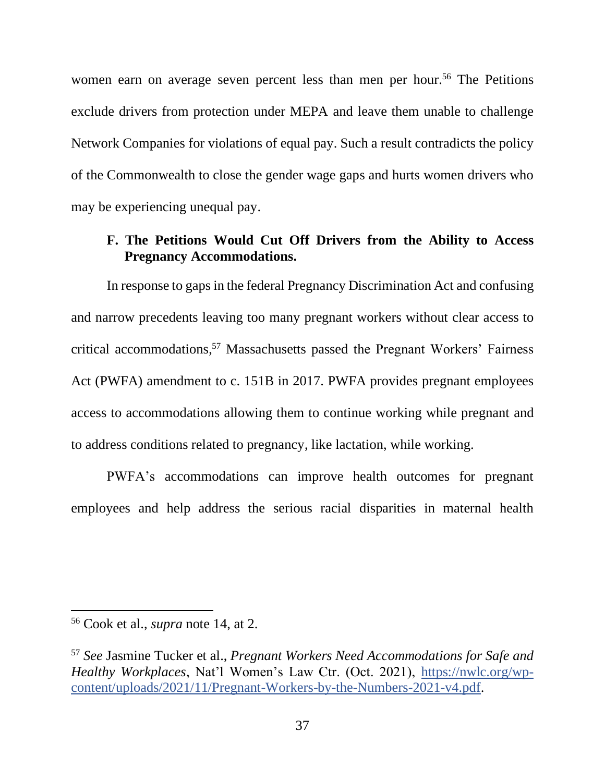women earn on average seven percent less than men per hour.<sup>56</sup> The Petitions exclude drivers from protection under MEPA and leave them unable to challenge Network Companies for violations of equal pay. Such a result contradicts the policy of the Commonwealth to close the gender wage gaps and hurts women drivers who may be experiencing unequal pay.

# <span id="page-36-0"></span>**F. The Petitions Would Cut Off Drivers from the Ability to Access Pregnancy Accommodations.**

In response to gaps in the federal Pregnancy Discrimination Act and confusing and narrow precedents leaving too many pregnant workers without clear access to critical accommodations, <sup>57</sup> Massachusetts passed the Pregnant Workers' Fairness Act (PWFA) amendment to c. 151B in 2017. PWFA provides pregnant employees access to accommodations allowing them to continue working while pregnant and to address conditions related to pregnancy, like lactation, while working.

PWFA's accommodations can improve health outcomes for pregnant employees and help address the serious racial disparities in maternal health

<sup>56</sup> Cook et al., *supra* note 14, at 2.

<sup>57</sup> *See* Jasmine Tucker et al., *Pregnant Workers Need Accommodations for Safe and Healthy Workplaces*, Nat'l Women's Law Ctr. (Oct. 2021), [https://nwlc.org/wp](https://nwlc.org/wp-content/uploads/2021/11/Pregnant-Workers-by-the-Numbers-2021-v4.pdf)[content/uploads/2021/11/Pregnant-Workers-by-the-Numbers-2021-v4.pdf.](https://nwlc.org/wp-content/uploads/2021/11/Pregnant-Workers-by-the-Numbers-2021-v4.pdf)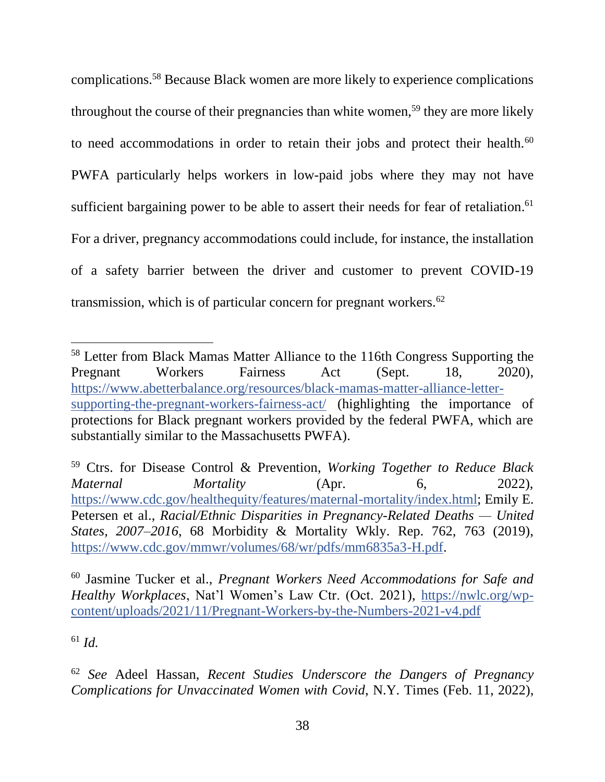complications.<sup>58</sup> Because Black women are more likely to experience complications throughout the course of their pregnancies than white women,<sup>59</sup> they are more likely to need accommodations in order to retain their jobs and protect their health.<sup>60</sup> PWFA particularly helps workers in low-paid jobs where they may not have sufficient bargaining power to be able to assert their needs for fear of retaliation.<sup>61</sup> For a driver, pregnancy accommodations could include, for instance, the installation of a safety barrier between the driver and customer to prevent COVID-19 transmission, which is of particular concern for pregnant workers.<sup>62</sup>

<sup>61</sup> *Id.*

<sup>58</sup> Letter from Black Mamas Matter Alliance to the 116th Congress Supporting the Pregnant Workers Fairness Act (Sept. 18, 2020), [https://www.abetterbalance.org/resources/black-mamas-matter-alliance-letter](https://www.abetterbalance.org/resources/black-mamas-matter-alliance-letter-supporting-the-pregnant-workers-fairness-act/)[supporting-the-pregnant-workers-fairness-act/](https://www.abetterbalance.org/resources/black-mamas-matter-alliance-letter-supporting-the-pregnant-workers-fairness-act/) (highlighting the importance of protections for Black pregnant workers provided by the federal PWFA, which are substantially similar to the Massachusetts PWFA).

<sup>59</sup> Ctrs. for Disease Control & Prevention, *Working Together to Reduce Black Maternal Mortality* (Apr. 6, 2022), [https://www.cdc.gov/healthequity/features/maternal-mortality/index.html;](https://www.cdc.gov/healthequity/features/maternal-mortality/index.html) Emily E. Petersen et al., *Racial/Ethnic Disparities in Pregnancy-Related Deaths — United States, 2007–2016*, 68 Morbidity & Mortality Wkly. Rep. 762, 763 (2019), [https://www.cdc.gov/mmwr/volumes/68/wr/pdfs/mm6835a3-H.pdf.](https://www.cdc.gov/mmwr/volumes/68/wr/pdfs/mm6835a3-H.pdf)

<sup>60</sup> Jasmine Tucker et al., *Pregnant Workers Need Accommodations for Safe and Healthy Workplaces*, Nat'l Women's Law Ctr. (Oct. 2021), [https://nwlc.org/wp](https://nwlc.org/wp-content/uploads/2021/11/Pregnant-Workers-by-the-Numbers-2021-v4.pdf)[content/uploads/2021/11/Pregnant-Workers-by-the-Numbers-2021-v4.pdf](https://nwlc.org/wp-content/uploads/2021/11/Pregnant-Workers-by-the-Numbers-2021-v4.pdf)

<sup>62</sup> *See* Adeel Hassan, *Recent Studies Underscore the Dangers of Pregnancy Complications for Unvaccinated Women with Covid*, N.Y. Times (Feb. 11, 2022),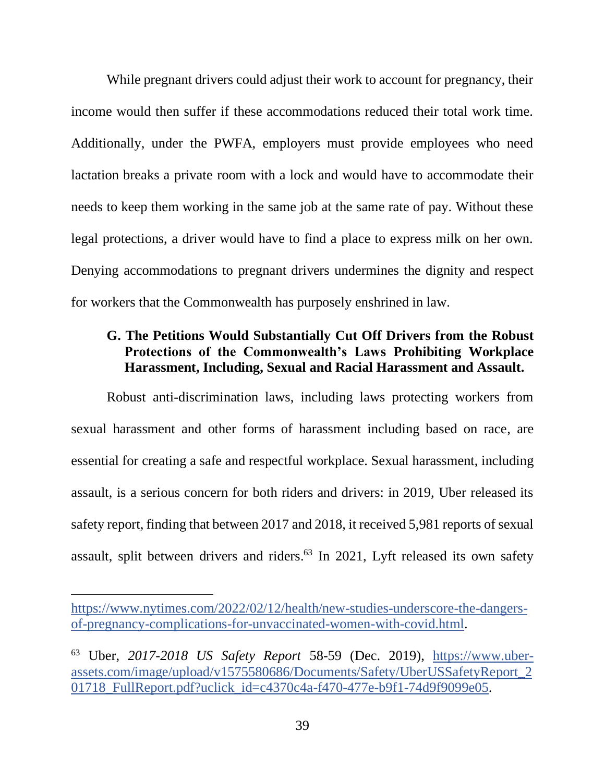While pregnant drivers could adjust their work to account for pregnancy, their income would then suffer if these accommodations reduced their total work time. Additionally, under the PWFA, employers must provide employees who need lactation breaks a private room with a lock and would have to accommodate their needs to keep them working in the same job at the same rate of pay. Without these legal protections, a driver would have to find a place to express milk on her own. Denying accommodations to pregnant drivers undermines the dignity and respect for workers that the Commonwealth has purposely enshrined in law.

### <span id="page-38-0"></span>**G. The Petitions Would Substantially Cut Off Drivers from the Robust Protections of the Commonwealth's Laws Prohibiting Workplace Harassment, Including, Sexual and Racial Harassment and Assault.**

Robust anti-discrimination laws, including laws protecting workers from sexual harassment and other forms of harassment including based on race, are essential for creating a safe and respectful workplace. Sexual harassment, including assault, is a serious concern for both riders and drivers: in 2019, Uber released its safety report, finding that between 2017 and 2018, it received 5,981 reports of sexual assault, split between drivers and riders. <sup>63</sup> In 2021, Lyft released its own safety

[https://www.nytimes.com/2022/02/12/health/new-studies-underscore-the-dangers](https://www.nytimes.com/2022/02/12/health/new-studies-underscore-the-dangers-of-pregnancy-complications-for-unvaccinated-women-with-covid.html)[of-pregnancy-complications-for-unvaccinated-women-with-covid.html.](https://www.nytimes.com/2022/02/12/health/new-studies-underscore-the-dangers-of-pregnancy-complications-for-unvaccinated-women-with-covid.html)

<sup>63</sup> Uber, *2017-2018 US Safety Report* 58-59 (Dec. 2019), [https://www.uber](https://www.uber-assets.com/image/upload/v1575580686/Documents/Safety/UberUSSafetyReport_201718_FullReport.pdf?uclick_id=c4370c4a-f470-477e-b9f1-74d9f9099e05)[assets.com/image/upload/v1575580686/Documents/Safety/UberUSSafetyReport\\_2](https://www.uber-assets.com/image/upload/v1575580686/Documents/Safety/UberUSSafetyReport_201718_FullReport.pdf?uclick_id=c4370c4a-f470-477e-b9f1-74d9f9099e05) [01718\\_FullReport.pdf?uclick\\_id=c4370c4a-f470-477e-b9f1-74d9f9099e05.](https://www.uber-assets.com/image/upload/v1575580686/Documents/Safety/UberUSSafetyReport_201718_FullReport.pdf?uclick_id=c4370c4a-f470-477e-b9f1-74d9f9099e05)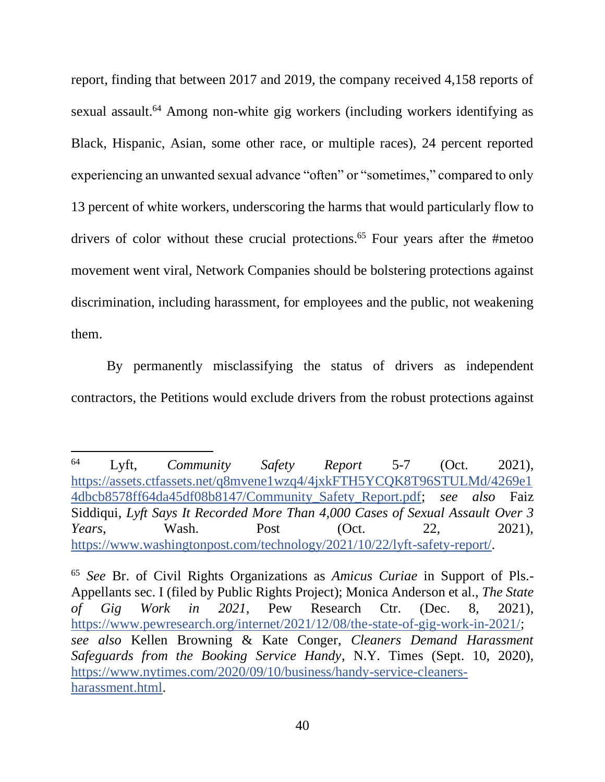report, finding that between 2017 and 2019, the company received 4,158 reports of sexual assault.<sup>64</sup> Among non-white gig workers (including workers identifying as Black, Hispanic, Asian, some other race, or multiple races), 24 percent reported experiencing an unwanted sexual advance "often" or "sometimes," compared to only 13 percent of white workers, underscoring the harms that would particularly flow to drivers of color without these crucial protections.<sup>65</sup> Four years after the #metoo movement went viral, Network Companies should be bolstering protections against discrimination, including harassment, for employees and the public, not weakening them.

By permanently misclassifying the status of drivers as independent contractors, the Petitions would exclude drivers from the robust protections against

<sup>64</sup> Lyft, *Community Safety Report* 5-7 (Oct. 2021), [https://assets.ctfassets.net/q8mvene1wzq4/4jxkFTH5YCQK8T96STULMd/4269e1](https://assets.ctfassets.net/q8mvene1wzq4/4jxkFTH5YCQK8T96STULMd/4269e14dbcb8578ff64da45df08b8147/Community_Safety_Report.pdf) [4dbcb8578ff64da45df08b8147/Community\\_Safety\\_Report.pdf;](https://assets.ctfassets.net/q8mvene1wzq4/4jxkFTH5YCQK8T96STULMd/4269e14dbcb8578ff64da45df08b8147/Community_Safety_Report.pdf) *see also* Faiz Siddiqui, *Lyft Says It Recorded More Than 4,000 Cases of Sexual Assault Over 3 Years*, Wash. Post (Oct. 22, 2021), [https://www.washingtonpost.com/technology/2021/10/22/lyft-safety-report/.](https://www.washingtonpost.com/technology/2021/10/22/lyft-safety-report/)

<sup>65</sup> *See* Br. of Civil Rights Organizations as *Amicus Curiae* in Support of Pls.- Appellants sec. I (filed by Public Rights Project); Monica Anderson et al., *The State of Gig Work in 2021*, Pew Research Ctr. (Dec. 8, 2021), [https://www.pewresearch.org/internet/2021/12/08/the-state-of-gig-work-in-2021/;](https://www.pewresearch.org/internet/2021/12/08/the-state-of-gig-work-in-2021/) *see also* Kellen Browning & Kate Conger, *Cleaners Demand Harassment Safeguards from the Booking Service Handy*, N.Y. Times (Sept. 10, 2020), [https://www.nytimes.com/2020/09/10/business/handy-service-cleaners](https://www.nytimes.com/2020/09/10/business/handy-service-cleaners-harassment.html)[harassment.html.](https://www.nytimes.com/2020/09/10/business/handy-service-cleaners-harassment.html)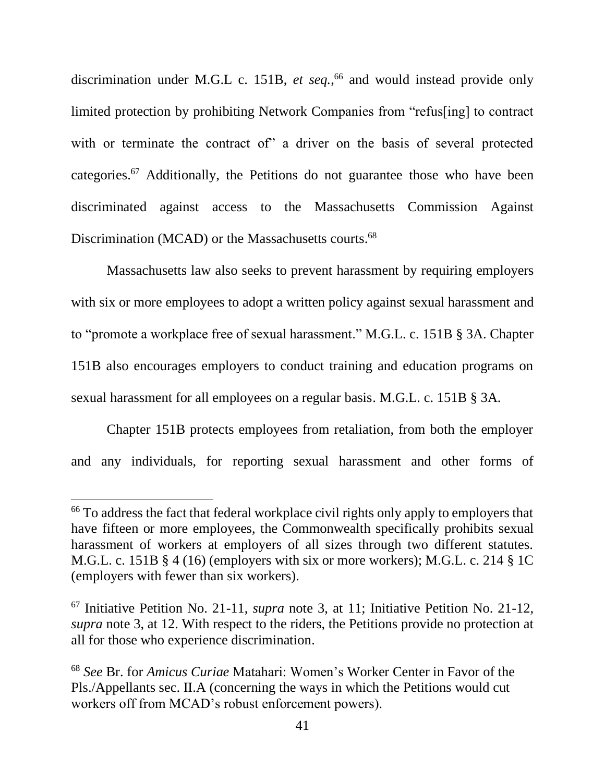discrimination under M.G.L c. 151B, *et seq.*, <sup>66</sup> and would instead provide only limited protection by prohibiting Network Companies from "refus[ing] to contract with or terminate the contract of" a driver on the basis of several protected categories.<sup>67</sup> Additionally, the Petitions do not guarantee those who have been discriminated against access to the Massachusetts Commission Against Discrimination (MCAD) or the Massachusetts courts.<sup>68</sup>

Massachusetts law also seeks to prevent harassment by requiring employers with six or more employees to adopt a written policy against sexual harassment and to "promote a workplace free of sexual harassment." M.G.L. c. 151B § 3A. Chapter 151B also encourages employers to conduct training and education programs on sexual harassment for all employees on a regular basis. M.G.L. c. 151B § 3A.

Chapter 151B protects employees from retaliation, from both the employer and any individuals, for reporting sexual harassment and other forms of

<sup>&</sup>lt;sup>66</sup> To address the fact that federal workplace civil rights only apply to employers that have fifteen or more employees, the Commonwealth specifically prohibits sexual harassment of workers at employers of all sizes through two different statutes. M.G.L. c. 151B § 4 (16) (employers with six or more workers); M.G.L. c. 214 § 1C (employers with fewer than six workers).

<sup>67</sup> Initiative Petition No. 21-11, *supra* note 3, at 11; Initiative Petition No. 21-12, *supra* note 3, at 12. With respect to the riders, the Petitions provide no protection at all for those who experience discrimination.

<sup>68</sup> *See* Br. for *Amicus Curiae* Matahari: Women's Worker Center in Favor of the Pls./Appellants sec. II.A (concerning the ways in which the Petitions would cut workers off from MCAD's robust enforcement powers).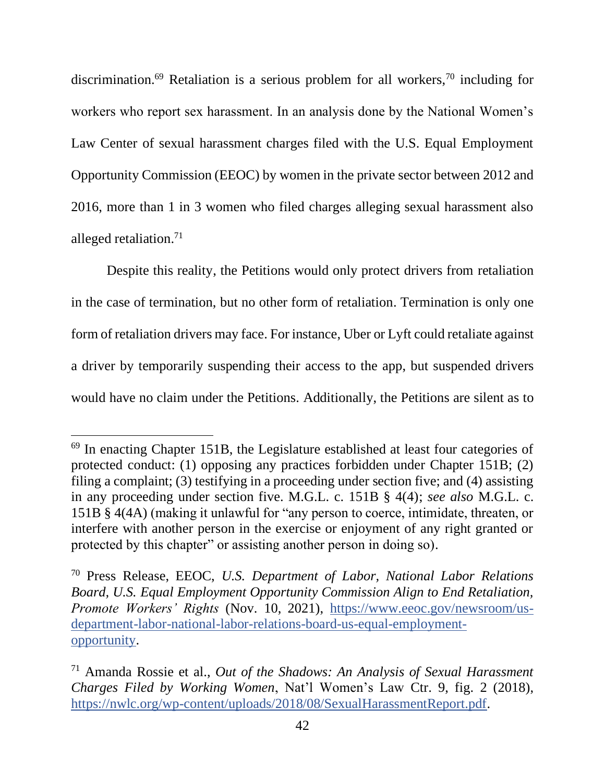discrimination.<sup>69</sup> Retaliation is a serious problem for all workers,<sup>70</sup> including for workers who report sex harassment. In an analysis done by the National Women's Law Center of sexual harassment charges filed with the U.S. Equal Employment Opportunity Commission (EEOC) by women in the private sector between 2012 and 2016, more than 1 in 3 women who filed charges alleging sexual harassment also alleged retaliation.<sup>71</sup>

Despite this reality, the Petitions would only protect drivers from retaliation in the case of termination, but no other form of retaliation. Termination is only one form of retaliation drivers may face. For instance, Uber or Lyft could retaliate against a driver by temporarily suspending their access to the app, but suspended drivers would have no claim under the Petitions. Additionally, the Petitions are silent as to

<sup>69</sup> In enacting Chapter 151B, the Legislature established at least four categories of protected conduct: (1) opposing any practices forbidden under Chapter 151B; (2) filing a complaint; (3) testifying in a proceeding under section five; and (4) assisting in any proceeding under section five. M.G.L. c. 151B § 4(4); *see also* M.G.L. c. 151B § 4(4A) (making it unlawful for "any person to coerce, intimidate, threaten, or interfere with another person in the exercise or enjoyment of any right granted or protected by this chapter" or assisting another person in doing so).

<sup>70</sup> Press Release, EEOC, *U.S. Department of Labor, National Labor Relations Board, U.S. Equal Employment Opportunity Commission Align to End Retaliation, Promote Workers' Rights* (Nov. 10, 2021), [https://www.eeoc.gov/newsroom/us](https://www.eeoc.gov/newsroom/us-department-labor-national-labor-relations-board-us-equal-employment-opportunity)[department-labor-national-labor-relations-board-us-equal-employment](https://www.eeoc.gov/newsroom/us-department-labor-national-labor-relations-board-us-equal-employment-opportunity)[opportunity.](https://www.eeoc.gov/newsroom/us-department-labor-national-labor-relations-board-us-equal-employment-opportunity)

<sup>71</sup> Amanda Rossie et al., *Out of the Shadows: An Analysis of Sexual Harassment Charges Filed by Working Women*, Nat'l Women's Law Ctr. 9, fig. 2 (2018), [https://nwlc.org/wp-content/uploads/2018/08/SexualHarassmentReport.pdf.](https://nwlc.org/wp-content/uploads/2018/08/SexualHarassmentReport.pdf)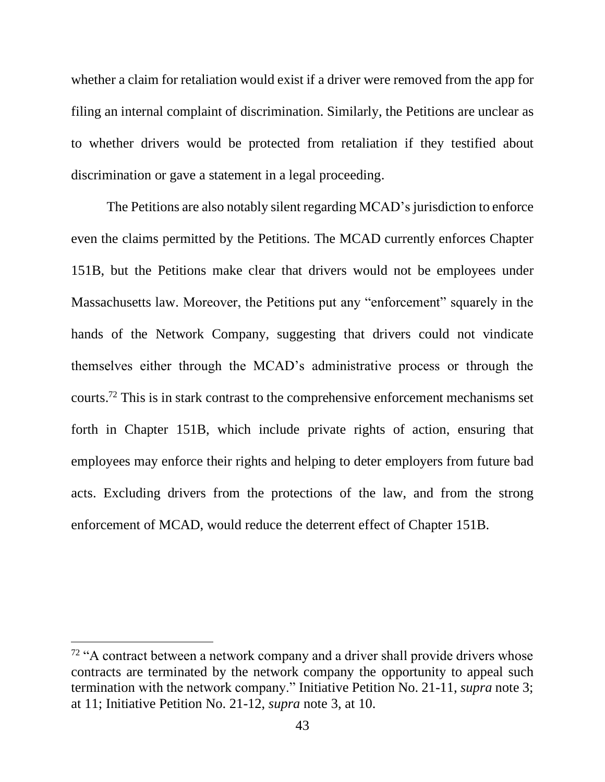whether a claim for retaliation would exist if a driver were removed from the app for filing an internal complaint of discrimination. Similarly, the Petitions are unclear as to whether drivers would be protected from retaliation if they testified about discrimination or gave a statement in a legal proceeding.

The Petitions are also notably silent regarding MCAD's jurisdiction to enforce even the claims permitted by the Petitions. The MCAD currently enforces Chapter 151B, but the Petitions make clear that drivers would not be employees under Massachusetts law. Moreover, the Petitions put any "enforcement" squarely in the hands of the Network Company, suggesting that drivers could not vindicate themselves either through the MCAD's administrative process or through the courts.<sup>72</sup> This is in stark contrast to the comprehensive enforcement mechanisms set forth in Chapter 151B, which include private rights of action, ensuring that employees may enforce their rights and helping to deter employers from future bad acts. Excluding drivers from the protections of the law, and from the strong enforcement of MCAD, would reduce the deterrent effect of Chapter 151B.

 $72$  "A contract between a network company and a driver shall provide drivers whose contracts are terminated by the network company the opportunity to appeal such termination with the network company." Initiative Petition No. 21-11, *supra* note 3; at 11; Initiative Petition No. 21-12, *supra* note 3, at 10.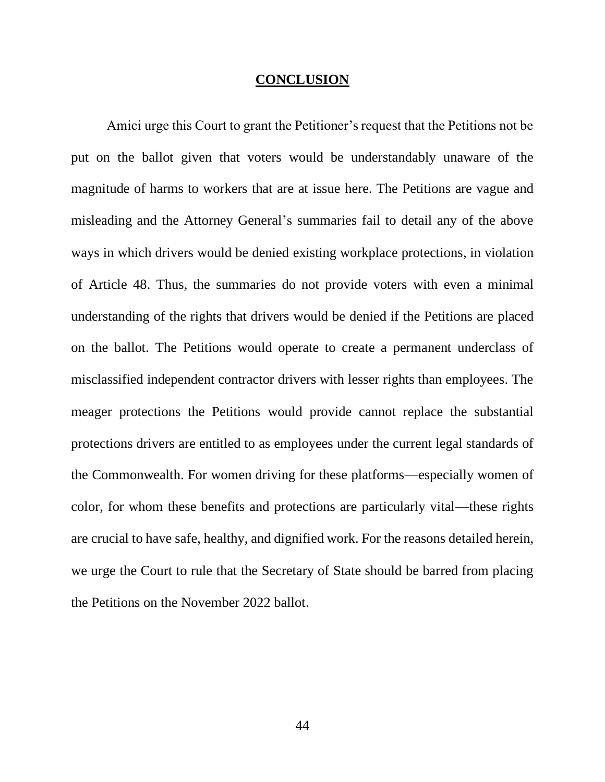#### **CONCLUSION**

<span id="page-43-0"></span>Amici urge this Court to grant the Petitioner's request that the Petitions not be put on the ballot given that voters would be understandably unaware of the magnitude of harms to workers that are at issue here. The Petitions are vague and misleading and the Attorney General's summaries fail to detail any of the above ways in which drivers would be denied existing workplace protections, in violation of Article 48. Thus, the summaries do not provide voters with even a minimal understanding of the rights that drivers would be denied if the Petitions are placed on the ballot. The Petitions would operate to create a permanent underclass of misclassified independent contractor drivers with lesser rights than employees. The meager protections the Petitions would provide cannot replace the substantial protections drivers are entitled to as employees under the current legal standards of the Commonwealth. For women driving for these platforms—especially women of color, for whom these benefits and protections are particularly vital—these rights are crucial to have safe, healthy, and dignified work. For the reasons detailed herein, we urge the Court to rule that the Secretary of State should be barred from placing the Petitions on the November 2022 ballot.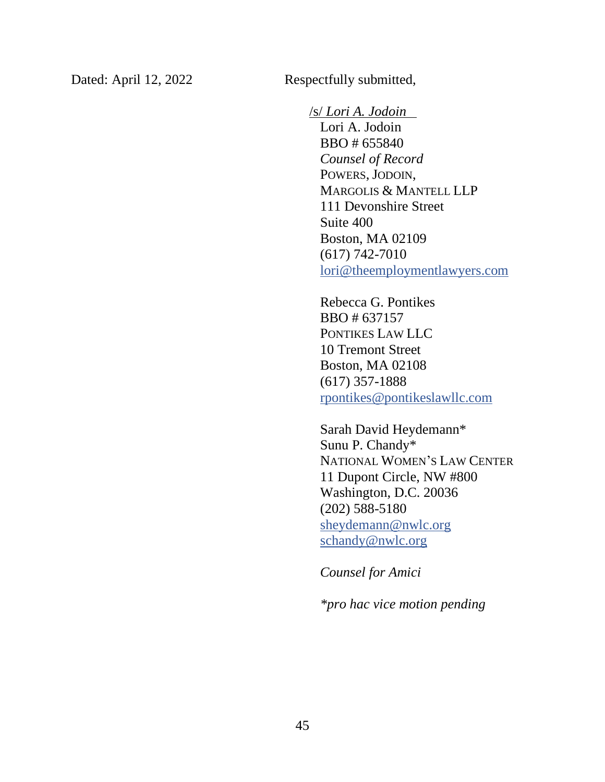Dated: April 12, 2022 Respectfully submitted,

/s/ *Lori A. Jodoin* Lori A. Jodoin BBO # 655840 *Counsel of Record* POWERS, JODOIN, MARGOLIS & MANTELL LLP 111 Devonshire Street Suite 400 Boston, MA 02109 (617) 742-7010 [lori@theemploymentlawyers.com](mailto:lori@theemploymentlawyers.com)

Rebecca G. Pontikes BBO # 637157 PONTIKES LAW LLC 10 Tremont Street Boston, MA 02108 (617) 357-1888 [rpontikes@pontikeslawllc.com](mailto:rpontikes@pontikeslawllc.com)

Sarah David Heydemann\* Sunu P. Chandy\* NATIONAL WOMEN'S LAW CENTER 11 Dupont Circle, NW #800 Washington, D.C. 20036 (202) 588-5180 [sheydemann@nwlc.org](mailto:sheydemann@nwlc.org) [schandy@nwlc.org](mailto:schandy@nwlc.org)

*Counsel for Amici*

*\*pro hac vice motion pending*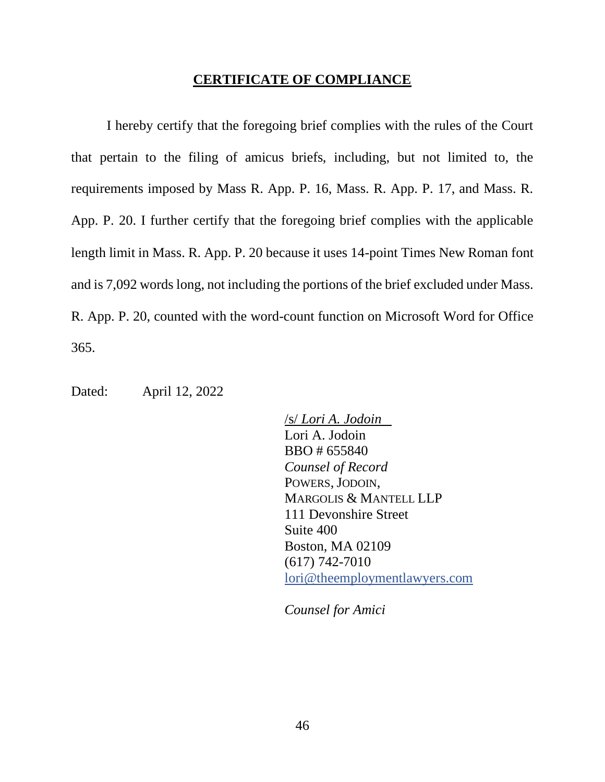#### **CERTIFICATE OF COMPLIANCE**

<span id="page-45-0"></span>I hereby certify that the foregoing brief complies with the rules of the Court that pertain to the filing of amicus briefs, including, but not limited to, the requirements imposed by Mass R. App. P. 16, Mass. R. App. P. 17, and Mass. R. App. P. 20. I further certify that the foregoing brief complies with the applicable length limit in Mass. R. App. P. 20 because it uses 14-point Times New Roman font and is 7,092 words long, not including the portions of the brief excluded under Mass. R. App. P. 20, counted with the word-count function on Microsoft Word for Office 365.

Dated: April 12, 2022

/s/ *Lori A. Jodoin* Lori A. Jodoin BBO # 655840 *Counsel of Record*  POWERS, JODOIN, MARGOLIS & MANTELL LLP 111 Devonshire Street Suite 400 Boston, MA 02109 (617) 742-7010 [lori@theemploymentlawyers.com](mailto:lori@theemploymentlawyers.com)

*Counsel for Amici*